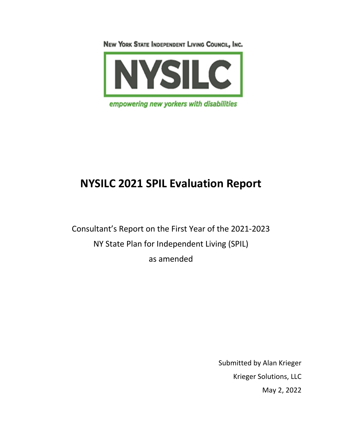NEW YORK STATE INDEPENDENT LIVING COUNCIL, INC.



# **NYSILC 2021 SPIL Evaluation Report**

Consultant's Report on the First Year of the 2021-2023 NY State Plan for Independent Living (SPIL) as amended

> Submitted by Alan Krieger Krieger Solutions, LLC May 2, 2022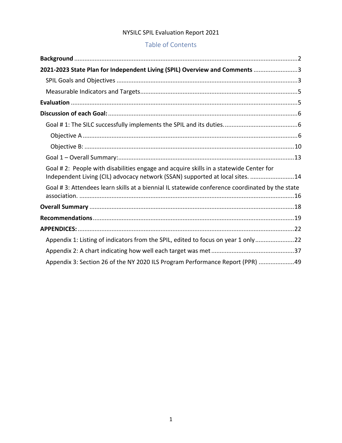## Table of Contents

| 2021-2023 State Plan for Independent Living (SPIL) Overview and Comments 3                                                                                             |
|------------------------------------------------------------------------------------------------------------------------------------------------------------------------|
|                                                                                                                                                                        |
|                                                                                                                                                                        |
|                                                                                                                                                                        |
|                                                                                                                                                                        |
|                                                                                                                                                                        |
|                                                                                                                                                                        |
|                                                                                                                                                                        |
|                                                                                                                                                                        |
| Goal #2: People with disabilities engage and acquire skills in a statewide Center for<br>Independent Living (CIL) advocacy network (SSAN) supported at local sites. 14 |
| Goal #3: Attendees learn skills at a biennial IL statewide conference coordinated by the state                                                                         |
|                                                                                                                                                                        |
|                                                                                                                                                                        |
|                                                                                                                                                                        |
| Appendix 1: Listing of indicators from the SPIL, edited to focus on year 1 only22                                                                                      |
|                                                                                                                                                                        |
| Appendix 3: Section 26 of the NY 2020 ILS Program Performance Report (PPR) 49                                                                                          |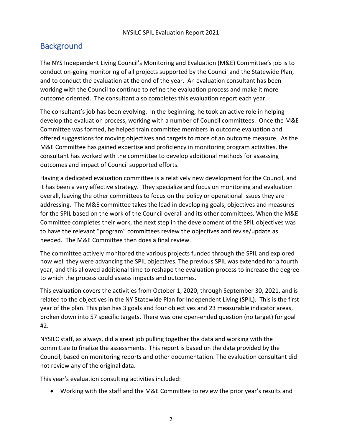## **Background**

The NYS Independent Living Council's Monitoring and Evaluation (M&E) Committee's job is to conduct on-going monitoring of all projects supported by the Council and the Statewide Plan, and to conduct the evaluation at the end of the year. An evaluation consultant has been working with the Council to continue to refine the evaluation process and make it more outcome oriented. The consultant also completes this evaluation report each year.

The consultant's job has been evolving. In the beginning, he took an active role in helping develop the evaluation process, working with a number of Council committees. Once the M&E Committee was formed, he helped train committee members in outcome evaluation and offered suggestions for moving objectives and targets to more of an outcome measure. As the M&E Committee has gained expertise and proficiency in monitoring program activities, the consultant has worked with the committee to develop additional methods for assessing outcomes and impact of Council supported efforts.

Having a dedicated evaluation committee is a relatively new development for the Council, and it has been a very effective strategy. They specialize and focus on monitoring and evaluation overall, leaving the other committees to focus on the policy or operational issues they are addressing. The M&E committee takes the lead in developing goals, objectives and measures for the SPIL based on the work of the Council overall and its other committees. When the M&E Committee completes their work, the next step in the development of the SPIL objectives was to have the relevant "program" committees review the objectives and revise/update as needed. The M&E Committee then does a final review.

The committee actively monitored the various projects funded through the SPIL and explored how well they were advancing the SPIL objectives. The previous SPIL was extended for a fourth year, and this allowed additional time to reshape the evaluation process to increase the degree to which the process could assess impacts and outcomes.

This evaluation covers the activities from October 1, 2020, through September 30, 2021, and is related to the objectives in the NY Statewide Plan for Independent Living (SPIL). This is the first year of the plan. This plan has 3 goals and four objectives and 23 measurable indicator areas, broken down into 57 specific targets. There was one open-ended question (no target) for goal #2.

NYSILC staff, as always, did a great job pulling together the data and working with the committee to finalize the assessments. This report is based on the data provided by the Council, based on monitoring reports and other documentation. The evaluation consultant did not review any of the original data.

This year's evaluation consulting activities included:

• Working with the staff and the M&E Committee to review the prior year's results and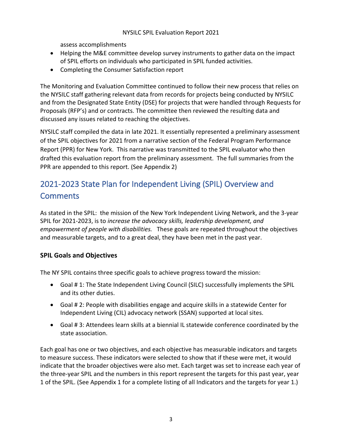assess accomplishments

- Helping the M&E committee develop survey instruments to gather data on the impact of SPIL efforts on individuals who participated in SPIL funded activities.
- Completing the Consumer Satisfaction report

The Monitoring and Evaluation Committee continued to follow their new process that relies on the NYSILC staff gathering relevant data from records for projects being conducted by NYSILC and from the Designated State Entity (DSE) for projects that were handled through Requests for Proposals (RFP's) and or contracts. The committee then reviewed the resulting data and discussed any issues related to reaching the objectives.

NYSILC staff compiled the data in late 2021. It essentially represented a preliminary assessment of the SPIL objectives for 2021 from a narrative section of the Federal Program Performance Report (PPR) for New York. This narrative was transmitted to the SPIL evaluator who then drafted this evaluation report from the preliminary assessment. The full summaries from the PPR are appended to this report. (See Appendix 2)

## 2021-2023 State Plan for Independent Living (SPIL) Overview and **Comments**

As stated in the SPIL: the mission of the New York Independent Living Network, and the 3-year SPIL for 2021-2023, is to *increase the advocacy skills, leadership development, and empowerment of people with disabilities.* These goals are repeated throughout the objectives and measurable targets, and to a great deal, they have been met in the past year.

## **SPIL Goals and Objectives**

The NY SPIL contains three specific goals to achieve progress toward the mission:

- Goal # 1: The State Independent Living Council (SILC) successfully implements the SPIL and its other duties.
- Goal # 2: People with disabilities engage and acquire skills in a statewide Center for Independent Living (CIL) advocacy network (SSAN) supported at local sites.
- Goal # 3: Attendees learn skills at a biennial IL statewide conference coordinated by the state association.

Each goal has one or two objectives, and each objective has measurable indicators and targets to measure success. These indicators were selected to show that if these were met, it would indicate that the broader objectives were also met. Each target was set to increase each year of the three-year SPIL and the numbers in this report represent the targets for this past year, year 1 of the SPIL. (See Appendix 1 for a complete listing of all Indicators and the targets for year 1.)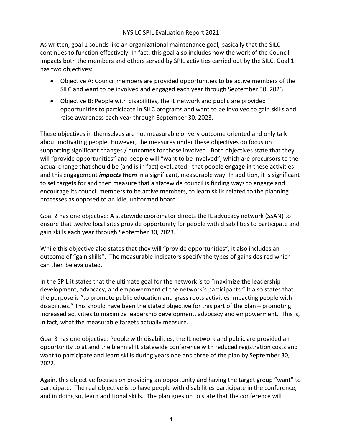As written, goal 1 sounds like an organizational maintenance goal, basically that the SILC continues to function effectively. In fact, this goal also includes how the work of the Council impacts both the members and others served by SPIL activities carried out by the SILC. Goal 1 has two objectives:

- Objective A: Council members are provided opportunities to be active members of the SILC and want to be involved and engaged each year through September 30, 2023.
- Objective B: People with disabilities, the IL network and public are provided opportunities to participate in SILC programs and want to be involved to gain skills and raise awareness each year through September 30, 2023.

These objectives in themselves are not measurable or very outcome oriented and only talk about motivating people. However, the measures under these objectives do focus on supporting significant changes / outcomes for those involved. Both objectives state that they will "provide opportunities" and people will "want to be involved", which are precursors to the actual change that should be (and is in fact) evaluated: that people **engage in** these activities and this engagement *impacts them* in a significant, measurable way. In addition, it is significant to set targets for and then measure that a statewide council is finding ways to engage and encourage its council members to be active members, to learn skills related to the planning processes as opposed to an idle, uniformed board.

Goal 2 has one objective: A statewide coordinator directs the IL advocacy network (SSAN) to ensure that twelve local sites provide opportunity for people with disabilities to participate and gain skills each year through September 30, 2023.

While this objective also states that they will "provide opportunities", it also includes an outcome of "gain skills". The measurable indicators specify the types of gains desired which can then be evaluated.

In the SPIL it states that the ultimate goal for the network is to "maximize the leadership development, advocacy, and empowerment of the network's participants." It also states that the purpose is "to promote public education and grass roots activities impacting people with disabilities." This should have been the stated objective for this part of the plan – promoting increased activities to maximize leadership development, advocacy and empowerment. This is, in fact, what the measurable targets actually measure.

Goal 3 has one objective: People with disabilities, the IL network and public are provided an opportunity to attend the biennial IL statewide conference with reduced registration costs and want to participate and learn skills during years one and three of the plan by September 30, 2022.

Again, this objective focuses on providing an opportunity and having the target group "want" to participate. The real objective is to have people with disabilities participate in the conference, and in doing so, learn additional skills. The plan goes on to state that the conference will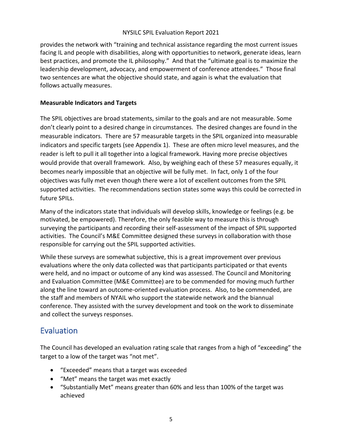provides the network with "training and technical assistance regarding the most current issues facing IL and people with disabilities, along with opportunities to network, generate ideas, learn best practices, and promote the IL philosophy." And that the "ultimate goal is to maximize the leadership development, advocacy, and empowerment of conference attendees." Those final two sentences are what the objective should state, and again is what the evaluation that follows actually measures.

#### **Measurable Indicators and Targets**

The SPIL objectives are broad statements, similar to the goals and are not measurable. Some don't clearly point to a desired change in circumstances. The desired changes are found in the measurable indicators. There are 57 measurable targets in the SPIL organized into measurable indicators and specific targets (see Appendix 1). These are often micro level measures, and the reader is left to pull it all together into a logical framework. Having more precise objectives would provide that overall framework. Also, by weighing each of these 57 measures equally, it becomes nearly impossible that an objective will be fully met. In fact, only 1 of the four objectives was fully met even though there were a lot of excellent outcomes from the SPIL supported activities. The recommendations section states some ways this could be corrected in future SPILs.

Many of the indicators state that individuals will develop skills, knowledge or feelings (e.g. be motivated, be empowered). Therefore, the only feasible way to measure this is through surveying the participants and recording their self-assessment of the impact of SPIL supported activities. The Council's M&E Committee designed these surveys in collaboration with those responsible for carrying out the SPIL supported activities.

While these surveys are somewhat subjective, this is a great improvement over previous evaluations where the only data collected was that participants participated or that events were held, and no impact or outcome of any kind was assessed. The Council and Monitoring and Evaluation Committee (M&E Committee) are to be commended for moving much further along the line toward an outcome-oriented evaluation process. Also, to be commended, are the staff and members of NYAIL who support the statewide network and the biannual conference. They assisted with the survey development and took on the work to disseminate and collect the surveys responses.

## Evaluation

The Council has developed an evaluation rating scale that ranges from a high of "exceeding" the target to a low of the target was "not met".

- "Exceeded" means that a target was exceeded
- "Met" means the target was met exactly
- "Substantially Met" means greater than 60% and less than 100% of the target was achieved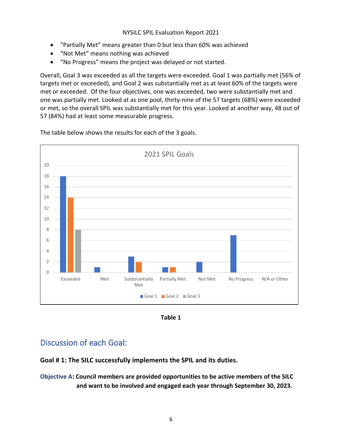- "Partially Met" means greater than 0 but less than 60% was achieved
- "Not Met" means nothing was achieved
- "No Progress" means the project was delayed or not started.

Overall, Goal 3 was exceeded as all the targets were exceeded. Goal 1 was partially met (56% of targets met or exceeded), and Goal 2 was substantially met as at least 60% of the targets were met or exceeded. Of the four objectives, one was exceeded, two were substantially met and one was partially met. Looked at as one pool, thirty-nine of the 57 targets (68%) were exceeded or met, so the overall SPIL was substantially met for this year. Looked at another way, 48 out of 57 (84%) had at least some measurable progress.

 $\Omega$ 2 4 6 8 10 12 14 16 18 20 Exceeded Met Subbstantially Met Partially Met Not Met No Progress N/A or Other 2021 SPIL Goals Goal 1 Goal 2 Goal 3

The table below shows the results for each of the 3 goals.



## Discussion of each Goal:

**Goal # 1: The SILC successfully implements the SPIL and its duties.**

**Objective A: Council members are provided opportunities to be active members of the SILC and want to be involved and engaged each year through September 30, 2023.**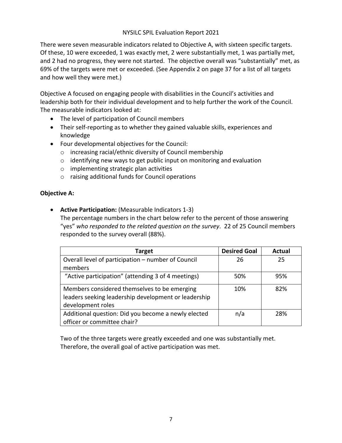There were seven measurable indicators related to Objective A, with sixteen specific targets. Of these, 10 were exceeded, 1 was exactly met, 2 were substantially met, 1 was partially met, and 2 had no progress, they were not started. The objective overall was "substantially" met, as 69% of the targets were met or exceeded. (See Appendix 2 on page 37 for a list of all targets and how well they were met.)

Objective A focused on engaging people with disabilities in the Council's activities and leadership both for their individual development and to help further the work of the Council. The measurable indicators looked at:

- The level of participation of Council members
- Their self-reporting as to whether they gained valuable skills, experiences and knowledge
- Four developmental objectives for the Council:
	- o increasing racial/ethnic diversity of Council membership
	- o identifying new ways to get public input on monitoring and evaluation
	- o implementing strategic plan activities
	- o raising additional funds for Council operations

#### **Objective A:**

• **Active Participation:** (Measurable Indicators 1-3) The percentage numbers in the chart below refer to the percent of those answering "yes" *who responded to the related question on the survey*. 22 of 25 Council members responded to the survey overall (88%).

| Target                                               | <b>Desired Goal</b> | <b>Actual</b> |
|------------------------------------------------------|---------------------|---------------|
| Overall level of participation - number of Council   | 26                  | 25            |
| members                                              |                     |               |
| "Active participation" (attending 3 of 4 meetings)   | 50%                 | 95%           |
| Members considered themselves to be emerging         | 10%                 | 82%           |
| leaders seeking leadership development or leadership |                     |               |
| development roles                                    |                     |               |
| Additional question: Did you become a newly elected  | n/a                 | 28%           |
| officer or committee chair?                          |                     |               |

Two of the three targets were greatly exceeded and one was substantially met. Therefore, the overall goal of active participation was met.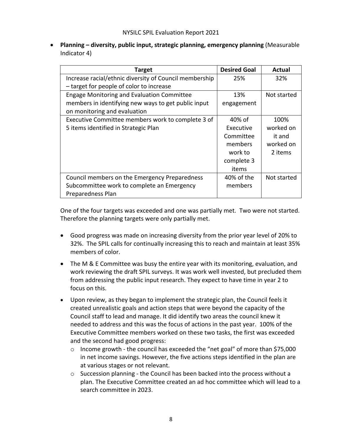• **Planning – diversity, public input, strategic planning, emergency planning** (Measurable Indicator 4)

| <b>Target</b>                                          | <b>Desired Goal</b> | Actual      |
|--------------------------------------------------------|---------------------|-------------|
| Increase racial/ethnic diversity of Council membership | 25%                 | 32%         |
| - target for people of color to increase               |                     |             |
| <b>Engage Monitoring and Evaluation Committee</b>      | 13%                 | Not started |
| members in identifying new ways to get public input    | engagement          |             |
| on monitoring and evaluation                           |                     |             |
| Executive Committee members work to complete 3 of      | 40% of              | 100%        |
| 5 items identified in Strategic Plan                   | Executive           | worked on   |
|                                                        | Committee           | it and      |
|                                                        | members             | worked on   |
|                                                        | work to             | 2 items     |
|                                                        | complete 3          |             |
|                                                        | items               |             |
| Council members on the Emergency Preparedness          | 40% of the          | Not started |
| Subcommittee work to complete an Emergency             | members             |             |
| Preparedness Plan                                      |                     |             |

One of the four targets was exceeded and one was partially met. Two were not started. Therefore the planning targets were only partially met.

- Good progress was made on increasing diversity from the prior year level of 20% to 32%. The SPIL calls for continually increasing this to reach and maintain at least 35% members of color.
- The M & E Committee was busy the entire year with its monitoring, evaluation, and work reviewing the draft SPIL surveys. It was work well invested, but precluded them from addressing the public input research. They expect to have time in year 2 to focus on this.
- Upon review, as they began to implement the strategic plan, the Council feels it created unrealistic goals and action steps that were beyond the capacity of the Council staff to lead and manage. It did identify two areas the council knew it needed to address and this was the focus of actions in the past year. 100% of the Executive Committee members worked on these two tasks, the first was exceeded and the second had good progress:
	- o Income growth the council has exceeded the "net goal" of more than \$75,000 in net income savings. However, the five actions steps identified in the plan are at various stages or not relevant.
	- $\circ$  Succession planning the Council has been backed into the process without a plan. The Executive Committee created an ad hoc committee which will lead to a search committee in 2023.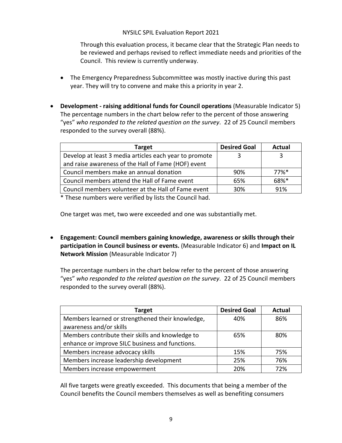Through this evaluation process, it became clear that the Strategic Plan needs to be reviewed and perhaps revised to reflect immediate needs and priorities of the Council. This review is currently underway.

- The Emergency Preparedness Subcommittee was mostly inactive during this past year. They will try to convene and make this a priority in year 2.
- **Development - raising additional funds for Council operations** (Measurable Indicator 5) The percentage numbers in the chart below refer to the percent of those answering "yes" *who responded to the related question on the survey*. 22 of 25 Council members responded to the survey overall (88%).

| <b>Target</b>                                          | <b>Desired Goal</b> | Actual              |
|--------------------------------------------------------|---------------------|---------------------|
| Develop at least 3 media articles each year to promote |                     | 3                   |
| and raise awareness of the Hall of Fame (HOF) event    |                     |                     |
| Council members make an annual donation                | 90%                 | $77\%$ <sup>*</sup> |
| Council members attend the Hall of Fame event          | 65%                 | 68%*                |
| Council members volunteer at the Hall of Fame event    | 30%                 | 91%                 |

\* These numbers were verified by lists the Council had.

One target was met, two were exceeded and one was substantially met.

• **Engagement: Council members gaining knowledge, awareness or skills through their participation in Council business or events.** (Measurable Indicator 6) and **Impact on IL Network Mission** (Measurable Indicator 7)

The percentage numbers in the chart below refer to the percent of those answering "yes" *who responded to the related question on the survey*. 22 of 25 Council members responded to the survey overall (88%).

| <b>Target</b>                                    | <b>Desired Goal</b> | <b>Actual</b> |
|--------------------------------------------------|---------------------|---------------|
| Members learned or strengthened their knowledge, | 40%                 | 86%           |
| awareness and/or skills                          |                     |               |
| Members contribute their skills and knowledge to | 65%                 | 80%           |
| enhance or improve SILC business and functions.  |                     |               |
| Members increase advocacy skills                 | 15%                 | 75%           |
| Members increase leadership development          | 25%                 | 76%           |
| Members increase empowerment                     | 20%                 | 72%           |

All five targets were greatly exceeded. This documents that being a member of the Council benefits the Council members themselves as well as benefiting consumers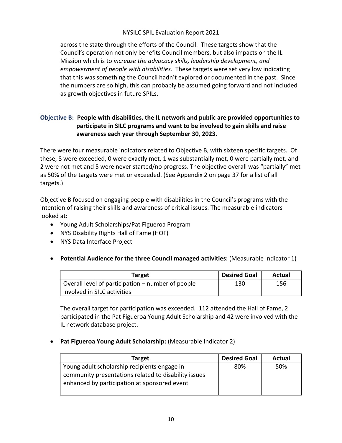across the state through the efforts of the Council. These targets show that the Council's operation not only benefits Council members, but also impacts on the IL Mission which is to *increase the advocacy skills, leadership development, and empowerment of people with disabilities.* These targets were set very low indicating that this was something the Council hadn't explored or documented in the past. Since the numbers are so high, this can probably be assumed going forward and not included as growth objectives in future SPILs.

#### **Objective B: People with disabilities, the IL network and public are provided opportunities to participate in SILC programs and want to be involved to gain skills and raise awareness each year through September 30, 2023.**

There were four measurable indicators related to Objective B, with sixteen specific targets. Of these, 8 were exceeded, 0 were exactly met, 1 was substantially met, 0 were partially met, and 2 were not met and 5 were never started/no progress. The objective overall was "partially" met as 50% of the targets were met or exceeded. (See Appendix 2 on page 37 for a list of all targets.)

Objective B focused on engaging people with disabilities in the Council's programs with the intention of raising their skills and awareness of critical issues. The measurable indicators looked at:

- Young Adult Scholarships/Pat Figueroa Program
- NYS Disability Rights Hall of Fame (HOF)
- NYS Data Interface Project
- **Potential Audience for the three Council managed activities:** (Measurable Indicator 1)

| Target                                            | <b>Desired Goal</b> | Actual |
|---------------------------------------------------|---------------------|--------|
| Overall level of participation – number of people | 130                 | 156    |
| involved in SILC activities                       |                     |        |

The overall target for participation was exceeded. 112 attended the Hall of Fame, 2 participated in the Pat Figueroa Young Adult Scholarship and 42 were involved with the IL network database project.

• **Pat Figueroa Young Adult Scholarship:** (Measurable Indicator 2)

| <b>Target</b>                                        | <b>Desired Goal</b> | Actual |
|------------------------------------------------------|---------------------|--------|
| Young adult scholarship recipients engage in         | 80%                 | 50%    |
| community presentations related to disability issues |                     |        |
| enhanced by participation at sponsored event         |                     |        |
|                                                      |                     |        |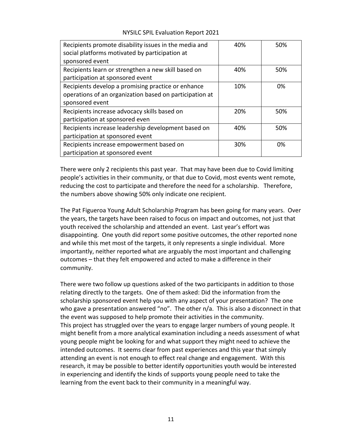| Recipients promote disability issues in the media and   | 40% | 50% |
|---------------------------------------------------------|-----|-----|
| social platforms motivated by participation at          |     |     |
| sponsored event                                         |     |     |
| Recipients learn or strengthen a new skill based on     | 40% | 50% |
| participation at sponsored event                        |     |     |
| Recipients develop a promising practice or enhance      | 10% | 0%  |
| operations of an organization based on participation at |     |     |
| sponsored event                                         |     |     |
| Recipients increase advocacy skills based on            | 20% | 50% |
| participation at sponsored even                         |     |     |
| Recipients increase leadership development based on     | 40% | 50% |
| participation at sponsored event                        |     |     |
| Recipients increase empowerment based on                | 30% | 0%  |
| participation at sponsored event                        |     |     |

NYSILC SPIL Evaluation Report 2021

There were only 2 recipients this past year. That may have been due to Covid limiting people's activities in their community, or that due to Covid, most events went remote, reducing the cost to participate and therefore the need for a scholarship. Therefore, the numbers above showing 50% only indicate one recipient.

The Pat Figueroa Young Adult Scholarship Program has been going for many years. Over the years, the targets have been raised to focus on impact and outcomes, not just that youth received the scholarship and attended an event. Last year's effort was disappointing. One youth did report some positive outcomes, the other reported none and while this met most of the targets, it only represents a single individual. More importantly, neither reported what are arguably the most important and challenging outcomes – that they felt empowered and acted to make a difference in their community.

There were two follow up questions asked of the two participants in addition to those relating directly to the targets. One of them asked: Did the information from the scholarship sponsored event help you with any aspect of your presentation? The one who gave a presentation answered "no". The other n/a. This is also a disconnect in that the event was supposed to help promote their activities in the community. This project has struggled over the years to engage larger numbers of young people. It might benefit from a more analytical examination including a needs assessment of what young people might be looking for and what support they might need to achieve the intended outcomes. It seems clear from past experiences and this year that simply attending an event is not enough to effect real change and engagement. With this research, it may be possible to better identify opportunities youth would be interested in experiencing and identify the kinds of supports young people need to take the learning from the event back to their community in a meaningful way.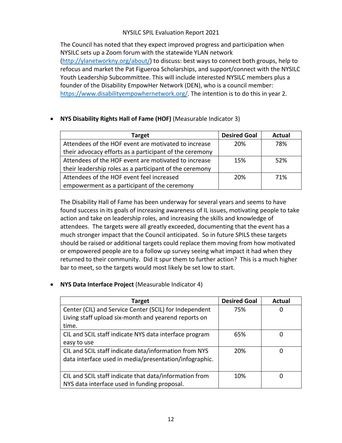The Council has noted that they expect improved progress and participation when NYSILC sets up a Zoom forum with the statewide YLAN network (http://ylanetworkny.org/about/) to discuss: best ways to connect both groups, help to refocus and market the Pat Figueroa Scholarships, and support/connect with the NYSILC Youth Leadership Subcommittee. This will include interested NYSILC members plus a founder of the Disability EmpowHer Network (DEN), who is a council member: https://www.disabilityempowhernetwork.org/. The intention is to do this in year 2.

| Target                                                  | <b>Desired Goal</b> | <b>Actual</b> |
|---------------------------------------------------------|---------------------|---------------|
| Attendees of the HOF event are motivated to increase    | 20%                 | 78%           |
| their advocacy efforts as a participant of the ceremony |                     |               |
| Attendees of the HOF event are motivated to increase    | 15%                 | 52%           |
| their leadership roles as a participant of the ceremony |                     |               |
| Attendees of the HOF event feel increased               | 20%                 | 71%           |
| empowerment as a participant of the ceremony            |                     |               |

#### • **NYS Disability Rights Hall of Fame (HOF)** (Measurable Indicator 3)

The Disability Hall of Fame has been underway for several years and seems to have found success in its goals of increasing awareness of IL issues, motivating people to take action and take on leadership roles, and increasing the skills and knowledge of attendees. The targets were all greatly exceeded, documenting that the event has a much stronger impact that the Council anticipated. So in future SPILS these targets should be raised or additional targets could replace them moving from how motivated or empowered people are to a follow up survey seeing what impact it had when they returned to their community. Did it spur them to further action? This is a much higher bar to meet, so the targets would most likely be set low to start.

#### • **NYS Data Interface Project** (Measurable Indicator 4)

| Target                                                 | <b>Desired Goal</b> | <b>Actual</b> |
|--------------------------------------------------------|---------------------|---------------|
| Center (CIL) and Service Center (SCIL) for Independent | 75%                 | 0             |
| Living staff upload six-month and yearend reports on   |                     |               |
| time.                                                  |                     |               |
| CIL and SCIL staff indicate NYS data interface program | 65%                 | 0             |
| easy to use                                            |                     |               |
| CIL and SCIL staff indicate data/information from NYS  | 20%                 | 0             |
| data interface used in media/presentation/infographic. |                     |               |
|                                                        |                     |               |
| CIL and SCIL staff indicate that data/information from | 10%                 | 0             |
| NYS data interface used in funding proposal.           |                     |               |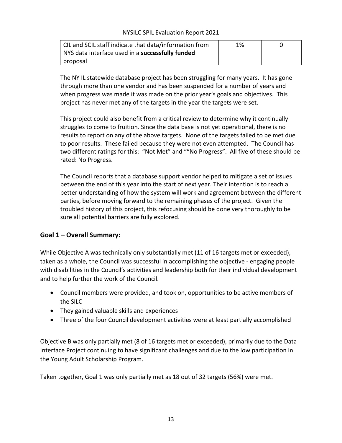| CIL and SCIL staff indicate that data/information from | 1% |  |
|--------------------------------------------------------|----|--|
| NYS data interface used in a successfully funded       |    |  |
| proposal                                               |    |  |

The NY IL statewide database project has been struggling for many years. It has gone through more than one vendor and has been suspended for a number of years and when progress was made it was made on the prior year's goals and objectives. This project has never met any of the targets in the year the targets were set.

This project could also benefit from a critical review to determine why it continually struggles to come to fruition. Since the data base is not yet operational, there is no results to report on any of the above targets. None of the targets failed to be met due to poor results. These failed because they were not even attempted. The Council has two different ratings for this: "Not Met" and ""No Progress". All five of these should be rated: No Progress.

The Council reports that a database support vendor helped to mitigate a set of issues between the end of this year into the start of next year. Their intention is to reach a better understanding of how the system will work and agreement between the different parties, before moving forward to the remaining phases of the project. Given the troubled history of this project, this refocusing should be done very thoroughly to be sure all potential barriers are fully explored.

#### **Goal 1 – Overall Summary:**

While Objective A was technically only substantially met (11 of 16 targets met or exceeded), taken as a whole, the Council was successful in accomplishing the objective - engaging people with disabilities in the Council's activities and leadership both for their individual development and to help further the work of the Council.

- Council members were provided, and took on, opportunities to be active members of the SILC
- They gained valuable skills and experiences
- Three of the four Council development activities were at least partially accomplished

Objective B was only partially met (8 of 16 targets met or exceeded), primarily due to the Data Interface Project continuing to have significant challenges and due to the low participation in the Young Adult Scholarship Program.

Taken together, Goal 1 was only partially met as 18 out of 32 targets (56%) were met.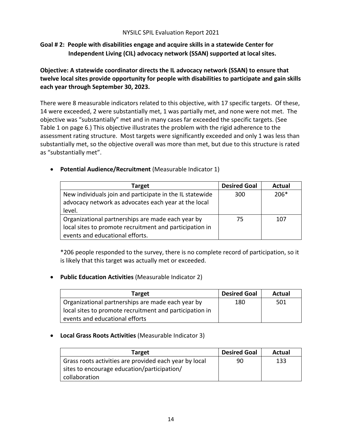#### **Goal # 2: People with disabilities engage and acquire skills in a statewide Center for Independent Living (CIL) advocacy network (SSAN) supported at local sites.**

**Objective: A statewide coordinator directs the IL advocacy network (SSAN) to ensure that twelve local sites provide opportunity for people with disabilities to participate and gain skills each year through September 30, 2023.**

There were 8 measurable indicators related to this objective, with 17 specific targets. Of these, 14 were exceeded, 2 were substantially met, 1 was partially met, and none were not met. The objective was "substantially" met and in many cases far exceeded the specific targets. (See Table 1 on page 6.) This objective illustrates the problem with the rigid adherence to the assessment rating structure. Most targets were significantly exceeded and only 1 was less than substantially met, so the objective overall was more than met, but due to this structure is rated as "substantially met".

• **Potential Audience/Recruitment** (Measurable Indicator 1)

| Target                                                   | <b>Desired Goal</b> | Actual |
|----------------------------------------------------------|---------------------|--------|
| New individuals join and participate in the IL statewide | 300                 | $206*$ |
| advocacy network as advocates each year at the local     |                     |        |
| level.                                                   |                     |        |
| Organizational partnerships are made each year by        | 75                  | 107    |
| local sites to promote recruitment and participation in  |                     |        |
| events and educational efforts.                          |                     |        |

\*206 people responded to the survey, there is no complete record of participation, so it is likely that this target was actually met or exceeded.

• **Public Education Activities** (Measurable Indicator 2)

| <b>Target</b>                                           | <b>Desired Goal</b> | Actual |
|---------------------------------------------------------|---------------------|--------|
| Organizational partnerships are made each year by       | 180                 | 501    |
| local sites to promote recruitment and participation in |                     |        |
| events and educational efforts                          |                     |        |

• **Local Grass Roots Activities** (Measurable Indicator 3)

| <b>Target</b>                                          | <b>Desired Goal</b> | Actual |
|--------------------------------------------------------|---------------------|--------|
| Grass roots activities are provided each year by local | 90                  | 133    |
| sites to encourage education/participation/            |                     |        |
| collaboration                                          |                     |        |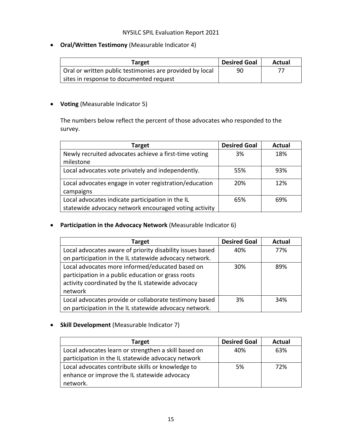• **Oral/Written Testimony** (Measurable Indicator 4)

| Target                                                   | <b>Desired Goal</b> | Actual |
|----------------------------------------------------------|---------------------|--------|
| Oral or written public testimonies are provided by local | 90                  |        |
| sites in response to documented request                  |                     |        |

• **Voting** (Measurable Indicator 5)

The numbers below reflect the percent of those advocates who responded to the survey.

| Target                                                 | <b>Desired Goal</b> | <b>Actual</b> |
|--------------------------------------------------------|---------------------|---------------|
| Newly recruited advocates achieve a first-time voting  | 3%                  | 18%           |
| milestone                                              |                     |               |
| Local advocates vote privately and independently.      | 55%                 | 93%           |
|                                                        |                     |               |
| Local advocates engage in voter registration/education | 20%                 | 12%           |
| campaigns                                              |                     |               |
| Local advocates indicate participation in the IL       | 65%                 | 69%           |
| statewide advocacy network encouraged voting activity  |                     |               |

• **Participation in the Advocacy Network** (Measurable Indicator 6)

| Target                                                    | <b>Desired Goal</b> | <b>Actual</b> |
|-----------------------------------------------------------|---------------------|---------------|
| Local advocates aware of priority disability issues based | 40%                 | 77%           |
| on participation in the IL statewide advocacy network.    |                     |               |
| Local advocates more informed/educated based on           | 30%                 | 89%           |
| participation in a public education or grass roots        |                     |               |
| activity coordinated by the IL statewide advocacy         |                     |               |
| network                                                   |                     |               |
| Local advocates provide or collaborate testimony based    | 3%                  | 34%           |
| on participation in the IL statewide advocacy network.    |                     |               |

#### • **Skill Development** (Measurable Indicator 7)

| <b>Target</b>                                        | <b>Desired Goal</b> | Actual |
|------------------------------------------------------|---------------------|--------|
| Local advocates learn or strengthen a skill based on | 40%                 | 63%    |
| participation in the IL statewide advocacy network   |                     |        |
| Local advocates contribute skills or knowledge to    | 5%                  | 72%    |
| enhance or improve the IL statewide advocacy         |                     |        |
| network.                                             |                     |        |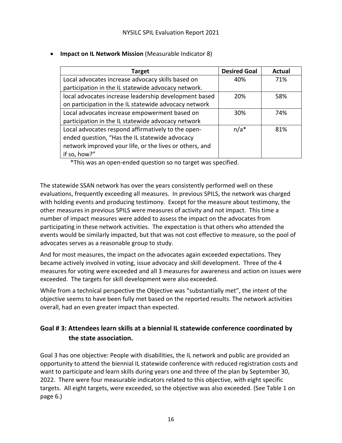| <b>Target</b>                                           | <b>Desired Goal</b> | <b>Actual</b> |
|---------------------------------------------------------|---------------------|---------------|
| Local advocates increase advocacy skills based on       | 40%                 | 71%           |
| participation in the IL statewide advocacy network.     |                     |               |
| local advocates increase leadership development based   | 20%                 | 58%           |
| on participation in the IL statewide advocacy network   |                     |               |
| Local advocates increase empowerment based on           | 30%                 | 74%           |
| participation in the IL statewide advocacy network      |                     |               |
| Local advocates respond affirmatively to the open-      | $n/a*$              | 81%           |
| ended question, "Has the IL statewide advocacy          |                     |               |
| network improved your life, or the lives or others, and |                     |               |
| if so, how?"                                            |                     |               |

• **Impact on IL Network Mission** (Measurable Indicator 8)

\*This was an open-ended question so no target was specified.

The statewide SSAN network has over the years consistently performed well on these evaluations, frequently exceeding all measures. In previous SPILS, the network was charged with holding events and producing testimony. Except for the measure about testimony, the other measures in previous SPILS were measures of activity and not impact. This time a number of impact measures were added to assess the impact on the advocates from participating in these network activities. The expectation is that others who attended the events would be similarly impacted, but that was not cost effective to measure, so the pool of advocates serves as a reasonable group to study.

And for most measures, the impact on the advocates again exceeded expectations. They became actively involved in voting, issue advocacy and skill development. Three of the 4 measures for voting were exceeded and all 3 measures for awareness and action on issues were exceeded. The targets for skill development were also exceeded.

While from a technical perspective the Objective was "substantially met", the intent of the objective seems to have been fully met based on the reported results. The network activities overall, had an even greater impact than expected.

### **Goal # 3: Attendees learn skills at a biennial IL statewide conference coordinated by the state association.**

Goal 3 has one objective: People with disabilities, the IL network and public are provided an opportunity to attend the biennial IL statewide conference with reduced registration costs and want to participate and learn skills during years one and three of the plan by September 30, 2022. There were four measurable indicators related to this objective, with eight specific targets. All eight targets, were exceeded, so the objective was also exceeded. (See Table 1 on page 6.)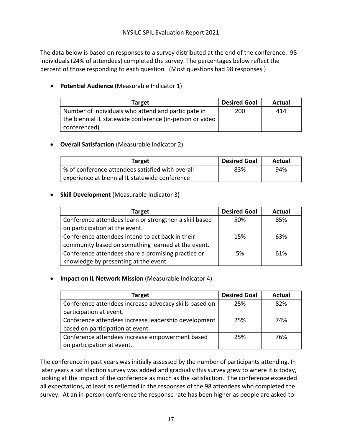The data below is based on responses to a survey distributed at the end of the conference. 98 individuals (24% of attendees) completed the survey. The percentages below reflect the percent of those responding to each question. (Most questions had 98 responses.)

• **Potential Audience** (Measurable Indicator 1)

| <b>Target</b>                                            | <b>Desired Goal</b> | Actual |
|----------------------------------------------------------|---------------------|--------|
| Number of individuals who attend and participate in      | 200                 | 414    |
| the biennial IL statewide conference (in-person or video |                     |        |
| conferenced)                                             |                     |        |

#### • **Overall Satisfaction** (Measurable Indicator 2)

| Target                                           | <b>Desired Goal</b> | Actual |
|--------------------------------------------------|---------------------|--------|
| % of conference attendees satisfied with overall | 83%                 | 94%    |
| experience at biennial IL statewide conference   |                     |        |

#### • **Skill Development** (Measurable Indicator 3)

| Target                                                 | <b>Desired Goal</b> | Actual |
|--------------------------------------------------------|---------------------|--------|
| Conference attendees learn or strengthen a skill based | 50%                 | 85%    |
| on participation at the event.                         |                     |        |
| Conference attendees intend to act back in their       | 15%                 | 63%    |
| community based on something learned at the event.     |                     |        |
| Conference attendees share a promising practice or     | 5%                  | 61%    |
| knowledge by presenting at the event.                  |                     |        |

• **Impact on IL Network Mission** (Measurable Indicator 4)

| Target                                                 | <b>Desired Goal</b> | <b>Actual</b> |
|--------------------------------------------------------|---------------------|---------------|
| Conference attendees increase advocacy skills based on | 25%                 | 82%           |
| participation at event.                                |                     |               |
| Conference attendees increase leadership development   | 25%                 | 74%           |
| based on participation at event.                       |                     |               |
| Conference attendees increase empowerment based        | 25%                 | 76%           |
| on participation at event.                             |                     |               |

The conference in past years was initially assessed by the number of participants attending. In later years a satisfaction survey was added and gradually this survey grew to where it is today, looking at the impact of the conference as much as the satisfaction. The conference exceeded all expectations, at least as reflected in the responses of the 98 attendees who completed the survey. At an in-person conference the response rate has been higher as people are asked to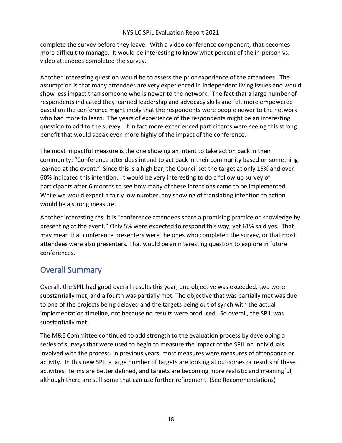complete the survey before they leave. With a video conference component, that becomes more difficult to manage. It would be interesting to know what percent of the in-person vs. video attendees completed the survey.

Another interesting question would be to assess the prior experience of the attendees. The assumption is that many attendees are very experienced in independent living issues and would show less impact than someone who is newer to the network. The fact that a large number of respondents indicated they learned leadership and advocacy skills and felt more empowered based on the conference might imply that the respondents were people newer to the network who had more to learn. The years of experience of the respondents might be an interesting question to add to the survey. If in fact more experienced participants were seeing this strong benefit that would speak even more highly of the impact of the conference.

The most impactful measure is the one showing an intent to take action back in their community: "Conference attendees intend to act back in their community based on something learned at the event." Since this is a high bar, the Council set the target at only 15% and over 60% indicated this intention. It would be very interesting to do a follow up survey of participants after 6 months to see how many of these intentions came to be implemented. While we would expect a fairly low number, any showing of translating intention to action would be a strong measure.

Another interesting result is "conference attendees share a promising practice or knowledge by presenting at the event." Only 5% were expected to respond this way, yet 61% said yes. That may mean that conference presenters were the ones who completed the survey, or that most attendees were also presenters. That would be an interesting question to explore in future conferences.

## Overall Summary

Overall, the SPIL had good overall results this year, one objective was exceeded, two were substantially met, and a fourth was partially met. The objective that was partially met was due to one of the projects being delayed and the targets being out of synch with the actual implementation timeline, not because no results were produced. So overall, the SPIL was substantially met.

The M&E Committee continued to add strength to the evaluation process by developing a series of surveys that were used to begin to measure the impact of the SPIL on individuals involved with the process. In previous years, most measures were measures of attendance or activity. In this new SPIL a large number of targets are looking at outcomes or results of these activities. Terms are better defined, and targets are becoming more realistic and meaningful, although there are still some that can use further refinement. (See Recommendations)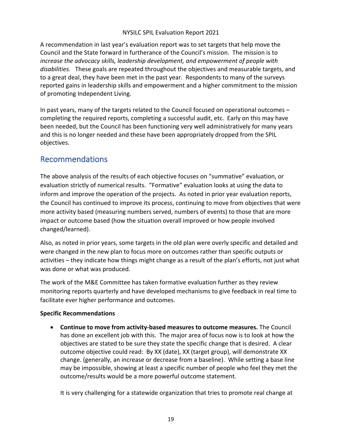A recommendation in last year's evaluation report was to set targets that help move the Council and the State forward in furtherance of the Council's mission. The mission is to *increase the advocacy skills, leadership development, and empowerment of people with disabilities.* These goals are repeated throughout the objectives and measurable targets, and to a great deal, they have been met in the past year. Respondents to many of the surveys reported gains in leadership skills and empowerment and a higher commitment to the mission of promoting Independent Living.

In past years, many of the targets related to the Council focused on operational outcomes – completing the required reports, completing a successful audit, etc. Early on this may have been needed, but the Council has been functioning very well administratively for many years and this is no longer needed and these have been appropriately dropped from the SPIL objectives.

## Recommendations

The above analysis of the results of each objective focuses on "summative" evaluation, or evaluation strictly of numerical results. "Formative" evaluation looks at using the data to inform and improve the operation of the projects. As noted in prior year evaluation reports, the Council has continued to improve its process, continuing to move from objectives that were more activity based (measuring numbers served, numbers of events) to those that are more impact or outcome based (how the situation overall improved or how people involved changed/learned).

Also, as noted in prior years, some targets in the old plan were overly specific and detailed and were changed in the new plan to focus more on outcomes rather than specific outputs or activities – they indicate how things might change as a result of the plan's efforts, not just what was done or what was produced.

The work of the M&E Committee has taken formative evaluation further as they review monitoring reports quarterly and have developed mechanisms to give feedback in real time to facilitate ever higher performance and outcomes.

#### **Specific Recommendations**

• **Continue to move from activity-based measures to outcome measures.** The Council has done an excellent job with this. The major area of focus now is to look at how the objectives are stated to be sure they state the specific change that is desired. A clear outcome objective could read: By XX (date), XX (target group), will demonstrate XX change. (generally, an increase or decrease from a baseline). While setting a base line may be impossible, showing at least a specific number of people who feel they met the outcome/results would be a more powerful outcome statement.

It is very challenging for a statewide organization that tries to promote real change at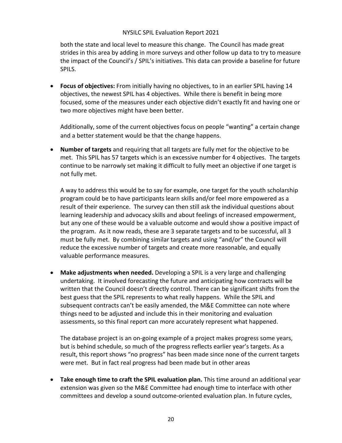both the state and local level to measure this change. The Council has made great strides in this area by adding in more surveys and other follow up data to try to measure the impact of the Council's / SPIL's initiatives. This data can provide a baseline for future SPILS.

• **Focus of objectives:** From initially having no objectives, to in an earlier SPIL having 14 objectives, the newest SPIL has 4 objectives. While there is benefit in being more focused, some of the measures under each objective didn't exactly fit and having one or two more objectives might have been better.

Additionally, some of the current objectives focus on people "wanting" a certain change and a better statement would be that the change happens.

• **Number of targets** and requiring that all targets are fully met for the objective to be met. This SPIL has 57 targets which is an excessive number for 4 objectives. The targets continue to be narrowly set making it difficult to fully meet an objective if one target is not fully met.

A way to address this would be to say for example, one target for the youth scholarship program could be to have participants learn skills and/or feel more empowered as a result of their experience. The survey can then still ask the individual questions about learning leadership and advocacy skills and about feelings of increased empowerment, but any one of these would be a valuable outcome and would show a positive impact of the program. As it now reads, these are 3 separate targets and to be successful, all 3 must be fully met. By combining similar targets and using "and/or" the Council will reduce the excessive number of targets and create more reasonable, and equally valuable performance measures.

• **Make adjustments when needed.** Developing a SPIL is a very large and challenging undertaking. It involved forecasting the future and anticipating how contracts will be written that the Council doesn't directly control. There can be significant shifts from the best guess that the SPIL represents to what really happens. While the SPIL and subsequent contracts can't be easily amended, the M&E Committee can note where things need to be adjusted and include this in their monitoring and evaluation assessments, so this final report can more accurately represent what happened.

The database project is an on-going example of a project makes progress some years, but is behind schedule, so much of the progress reflects earlier year's targets. As a result, this report shows "no progress" has been made since none of the current targets were met. But in fact real progress had been made but in other areas

• **Take enough time to craft the SPIL evaluation plan.** This time around an additional year extension was given so the M&E Committee had enough time to interface with other committees and develop a sound outcome-oriented evaluation plan. In future cycles,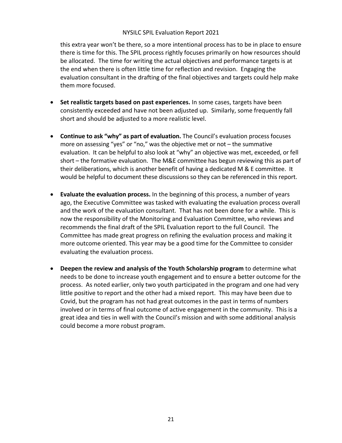this extra year won't be there, so a more intentional process has to be in place to ensure there is time for this. The SPIL process rightly focuses primarily on how resources should be allocated. The time for writing the actual objectives and performance targets is at the end when there is often little time for reflection and revision. Engaging the evaluation consultant in the drafting of the final objectives and targets could help make them more focused.

- **Set realistic targets based on past experiences.** In some cases, targets have been consistently exceeded and have not been adjusted up. Similarly, some frequently fall short and should be adjusted to a more realistic level.
- **Continue to ask "why" as part of evaluation.** The Council's evaluation process focuses more on assessing "yes" or "no," was the objective met or not – the summative evaluation. It can be helpful to also look at "why" an objective was met, exceeded, or fell short – the formative evaluation. The M&E committee has begun reviewing this as part of their deliberations, which is another benefit of having a dedicated M & E committee. It would be helpful to document these discussions so they can be referenced in this report.
- **Evaluate the evaluation process.** In the beginning of this process, a number of years ago, the Executive Committee was tasked with evaluating the evaluation process overall and the work of the evaluation consultant. That has not been done for a while. This is now the responsibility of the Monitoring and Evaluation Committee, who reviews and recommends the final draft of the SPIL Evaluation report to the full Council. The Committee has made great progress on refining the evaluation process and making it more outcome oriented. This year may be a good time for the Committee to consider evaluating the evaluation process.
- **Deepen the review and analysis of the Youth Scholarship program** to determine what needs to be done to increase youth engagement and to ensure a better outcome for the process. As noted earlier, only two youth participated in the program and one had very little positive to report and the other had a mixed report. This may have been due to Covid, but the program has not had great outcomes in the past in terms of numbers involved or in terms of final outcome of active engagement in the community. This is a great idea and ties in well with the Council's mission and with some additional analysis could become a more robust program.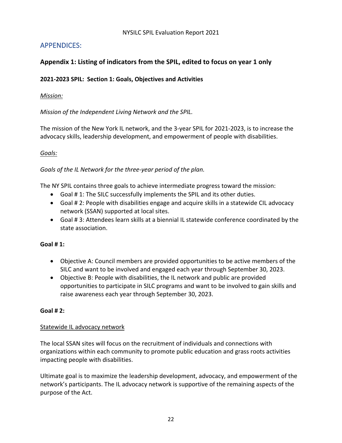## APPENDICES:

#### **Appendix 1: Listing of indicators from the SPIL, edited to focus on year 1 only**

#### **2021-2023 SPIL: Section 1: Goals, Objectives and Activities**

#### *Mission:*

*Mission of the Independent Living Network and the SPIL.*

The mission of the New York IL network, and the 3-year SPIL for 2021-2023, is to increase the advocacy skills, leadership development, and empowerment of people with disabilities.

#### *Goals:*

*Goals of the IL Network for the three-year period of the plan.*

The NY SPIL contains three goals to achieve intermediate progress toward the mission:

- Goal # 1: The SILC successfully implements the SPIL and its other duties.
- Goal # 2: People with disabilities engage and acquire skills in a statewide CIL advocacy network (SSAN) supported at local sites.
- Goal # 3: Attendees learn skills at a biennial IL statewide conference coordinated by the state association.

#### **Goal # 1:**

- Objective A: Council members are provided opportunities to be active members of the SILC and want to be involved and engaged each year through September 30, 2023.
- Objective B: People with disabilities, the IL network and public are provided opportunities to participate in SILC programs and want to be involved to gain skills and raise awareness each year through September 30, 2023.

#### **Goal # 2:**

#### Statewide IL advocacy network

The local SSAN sites will focus on the recruitment of individuals and connections with organizations within each community to promote public education and grass roots activities impacting people with disabilities.

Ultimate goal is to maximize the leadership development, advocacy, and empowerment of the network's participants. The IL advocacy network is supportive of the remaining aspects of the purpose of the Act.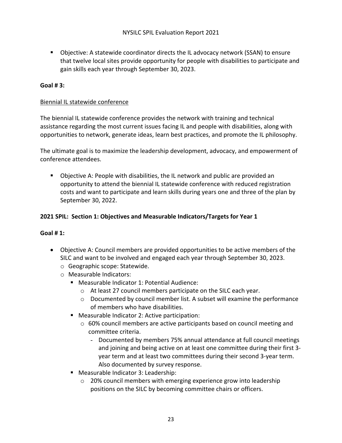■ Objective: A statewide coordinator directs the IL advocacy network (SSAN) to ensure that twelve local sites provide opportunity for people with disabilities to participate and gain skills each year through September 30, 2023.

#### **Goal # 3:**

#### Biennial IL statewide conference

The biennial IL statewide conference provides the network with training and technical assistance regarding the most current issues facing IL and people with disabilities, along with opportunities to network, generate ideas, learn best practices, and promote the IL philosophy.

The ultimate goal is to maximize the leadership development, advocacy, and empowerment of conference attendees.

§ Objective A: People with disabilities, the IL network and public are provided an opportunity to attend the biennial IL statewide conference with reduced registration costs and want to participate and learn skills during years one and three of the plan by September 30, 2022.

#### **2021 SPIL: Section 1: Objectives and Measurable Indicators/Targets for Year 1**

#### **Goal # 1:**

- Objective A: Council members are provided opportunities to be active members of the SILC and want to be involved and engaged each year through September 30, 2023.
	- o Geographic scope: Statewide.
	- o Measurable Indicators:
		- Measurable Indicator 1: Potential Audience:
			- o At least 27 council members participate on the SILC each year.
			- o Documented by council member list. A subset will examine the performance of members who have disabilities.
		- Measurable Indicator 2: Active participation:
			- $\circ$  60% council members are active participants based on council meeting and committee criteria.
				- Documented by members 75% annual attendance at full council meetings and joining and being active on at least one committee during their first 3 year term and at least two committees during their second 3-year term. Also documented by survey response.
		- Measurable Indicator 3: Leadership:
			- o 20% council members with emerging experience grow into leadership positions on the SILC by becoming committee chairs or officers.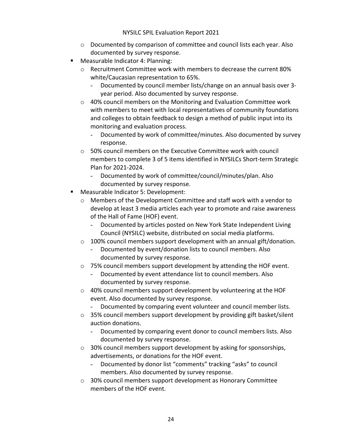- $\circ$  Documented by comparison of committee and council lists each year. Also documented by survey response.
- § Measurable Indicator 4: Planning:
	- $\circ$  Recruitment Committee work with members to decrease the current 80% white/Caucasian representation to 65%.
		- Documented by council member lists/change on an annual basis over 3 year period. Also documented by survey response.
	- $\circ$  40% council members on the Monitoring and Evaluation Committee work with members to meet with local representatives of community foundations and colleges to obtain feedback to design a method of public input into its monitoring and evaluation process.
		- Documented by work of committee/minutes. Also documented by survey response.
	- o 50% council members on the Executive Committee work with council members to complete 3 of 5 items identified in NYSILCs Short-term Strategic Plan for 2021-2024.
		- Documented by work of committee/council/minutes/plan. Also documented by survey response.
- § Measurable Indicator 5: Development:
	- o Members of the Development Committee and staff work with a vendor to develop at least 3 media articles each year to promote and raise awareness of the Hall of Fame (HOF) event.
		- Documented by articles posted on New York State Independent Living Council (NYSILC) website, distributed on social media platforms.
	- o 100% council members support development with an annual gift/donation.
		- Documented by event/donation lists to council members. Also documented by survey response.
	- o 75% council members support development by attending the HOF event.
		- Documented by event attendance list to council members. Also documented by survey response.
	- o 40% council members support development by volunteering at the HOF event. Also documented by survey response.
		- Documented by comparing event volunteer and council member lists.
	- $\circ$  35% council members support development by providing gift basket/silent auction donations.
		- Documented by comparing event donor to council members lists. Also documented by survey response.
	- o 30% council members support development by asking for sponsorships, advertisements, or donations for the HOF event.
		- Documented by donor list "comments" tracking "asks" to council members. Also documented by survey response.
	- o 30% council members support development as Honorary Committee members of the HOF event.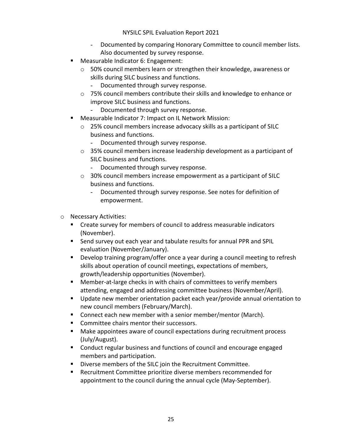- Documented by comparing Honorary Committee to council member lists. Also documented by survey response.
- § Measurable Indicator 6: Engagement:
	- $\circ$  50% council members learn or strengthen their knowledge, awareness or skills during SILC business and functions.
		- Documented through survey response.
	- $\circ$  75% council members contribute their skills and knowledge to enhance or improve SILC business and functions.
		- Documented through survey response.
- Measurable Indicator 7: Impact on IL Network Mission:
	- o 25% council members increase advocacy skills as a participant of SILC business and functions.
		- Documented through survey response.
	- $\circ$  35% council members increase leadership development as a participant of SILC business and functions.
		- Documented through survey response.
	- o 30% council members increase empowerment as a participant of SILC business and functions.
		- Documented through survey response. See notes for definition of empowerment.
- o Necessary Activities:
	- Create survey for members of council to address measurable indicators (November).
	- Send survey out each year and tabulate results for annual PPR and SPIL evaluation (November/January).
	- Develop training program/offer once a year during a council meeting to refresh skills about operation of council meetings, expectations of members, growth/leadership opportunities (November).
	- Member-at-large checks in with chairs of committees to verify members attending, engaged and addressing committee business (November/April).
	- Update new member orientation packet each year/provide annual orientation to new council members (February/March).
	- Connect each new member with a senior member/mentor (March).
	- Committee chairs mentor their successors.
	- Make appointees aware of council expectations during recruitment process (July/August).
	- Conduct regular business and functions of council and encourage engaged members and participation.
	- Diverse members of the SILC join the Recruitment Committee.
	- Recruitment Committee prioritize diverse members recommended for appointment to the council during the annual cycle (May-September).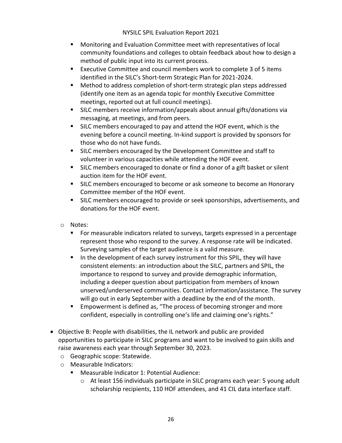- Monitoring and Evaluation Committee meet with representatives of local community foundations and colleges to obtain feedback about how to design a method of public input into its current process.
- Executive Committee and council members work to complete 3 of 5 items identified in the SILC's Short-term Strategic Plan for 2021-2024.
- Method to address completion of short-term strategic plan steps addressed (identify one item as an agenda topic for monthly Executive Committee meetings, reported out at full council meetings).
- SILC members receive information/appeals about annual gifts/donations via messaging, at meetings, and from peers.
- SILC members encouraged to pay and attend the HOF event, which is the evening before a council meeting. In-kind support is provided by sponsors for those who do not have funds.
- SILC members encouraged by the Development Committee and staff to volunteer in various capacities while attending the HOF event.
- SILC members encouraged to donate or find a donor of a gift basket or silent auction item for the HOF event.
- SILC members encouraged to become or ask someone to become an Honorary Committee member of the HOF event.
- **EXTENDED SILC members encouraged to provide or seek sponsorships, advertisements, and** donations for the HOF event.
- o Notes:
	- For measurable indicators related to surveys, targets expressed in a percentage represent those who respond to the survey. A response rate will be indicated. Surveying samples of the target audience is a valid measure.
	- In the development of each survey instrument for this SPIL, they will have consistent elements: an introduction about the SILC, partners and SPIL, the importance to respond to survey and provide demographic information, including a deeper question about participation from members of known unserved/underserved communities. Contact information/assistance. The survey will go out in early September with a deadline by the end of the month.
	- Empowerment is defined as, "The process of becoming stronger and more confident, especially in controlling one's life and claiming one's rights."
- Objective B: People with disabilities, the IL network and public are provided opportunities to participate in SILC programs and want to be involved to gain skills and raise awareness each year through September 30, 2023.
	- o Geographic scope: Statewide.
	- o Measurable Indicators:
		- § Measurable Indicator 1: Potential Audience:
			- $\circ$  At least 156 individuals participate in SILC programs each year: 5 young adult scholarship recipients, 110 HOF attendees, and 41 CIL data interface staff.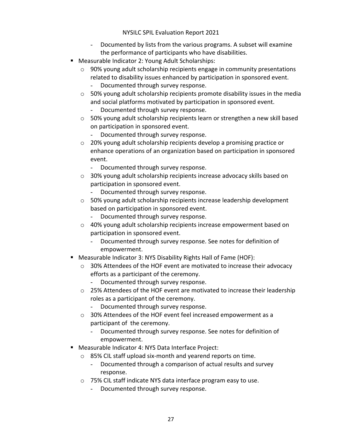- Documented by lists from the various programs. A subset will examine the performance of participants who have disabilities.
- Measurable Indicator 2: Young Adult Scholarships:
	- $\circ$  90% young adult scholarship recipients engage in community presentations related to disability issues enhanced by participation in sponsored event.
		- Documented through survey response.
	- o 50% young adult scholarship recipients promote disability issues in the media and social platforms motivated by participation in sponsored event. - Documented through survey response.
	- $\circ$  50% young adult scholarship recipients learn or strengthen a new skill based on participation in sponsored event.
		- Documented through survey response.
	- o 20% young adult scholarship recipients develop a promising practice or enhance operations of an organization based on participation in sponsored event.
		- Documented through survey response.
	- o 30% young adult scholarship recipients increase advocacy skills based on participation in sponsored event.
		- Documented through survey response.
	- o 50% young adult scholarship recipients increase leadership development based on participation in sponsored event.
		- Documented through survey response.
	- o 40% young adult scholarship recipients increase empowerment based on participation in sponsored event.
		- Documented through survey response. See notes for definition of empowerment.
- Measurable Indicator 3: NYS Disability Rights Hall of Fame (HOF):
	- $\circ$  30% Attendees of the HOF event are motivated to increase their advocacy efforts as a participant of the ceremony.
		- Documented through survey response.
	- $\circ$  25% Attendees of the HOF event are motivated to increase their leadership roles as a participant of the ceremony.
		- Documented through survey response.
	- o 30% Attendees of the HOF event feel increased empowerment as a participant of the ceremony.
		- Documented through survey response. See notes for definition of empowerment.
- Measurable Indicator 4: NYS Data Interface Project:
	- o 85% CIL staff upload six-month and yearend reports on time.
		- Documented through a comparison of actual results and survey response.
	- o 75% CIL staff indicate NYS data interface program easy to use.
		- Documented through survey response.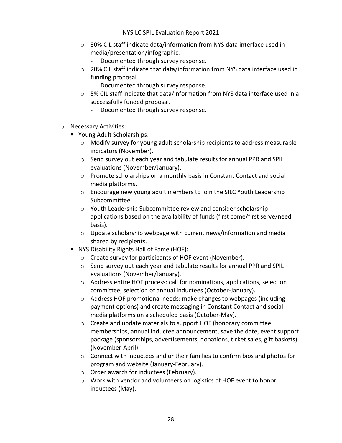- o 30% CIL staff indicate data/information from NYS data interface used in media/presentation/infographic.
	- Documented through survey response.
- $\circ$  20% CIL staff indicate that data/information from NYS data interface used in funding proposal.
	- Documented through survey response.
- $\circ$  5% CIL staff indicate that data/information from NYS data interface used in a successfully funded proposal.
	- Documented through survey response.
- o Necessary Activities:
	- Young Adult Scholarships:
		- $\circ$  Modify survey for young adult scholarship recipients to address measurable indicators (November).
		- o Send survey out each year and tabulate results for annual PPR and SPIL evaluations (November/January).
		- o Promote scholarships on a monthly basis in Constant Contact and social media platforms.
		- o Encourage new young adult members to join the SILC Youth Leadership Subcommittee.
		- o Youth Leadership Subcommittee review and consider scholarship applications based on the availability of funds (first come/first serve/need basis).
		- $\circ$  Update scholarship webpage with current news/information and media shared by recipients.
	- § NYS Disability Rights Hall of Fame (HOF):
		- o Create survey for participants of HOF event (November).
		- o Send survey out each year and tabulate results for annual PPR and SPIL evaluations (November/January).
		- o Address entire HOF process: call for nominations, applications, selection committee, selection of annual inductees (October-January).
		- o Address HOF promotional needs: make changes to webpages (including payment options) and create messaging in Constant Contact and social media platforms on a scheduled basis (October-May).
		- o Create and update materials to support HOF (honorary committee memberships, annual inductee announcement, save the date, event support package (sponsorships, advertisements, donations, ticket sales, gift baskets) (November-April).
		- $\circ$  Connect with inductees and or their families to confirm bios and photos for program and website (January-February).
		- o Order awards for inductees (February).
		- o Work with vendor and volunteers on logistics of HOF event to honor inductees (May).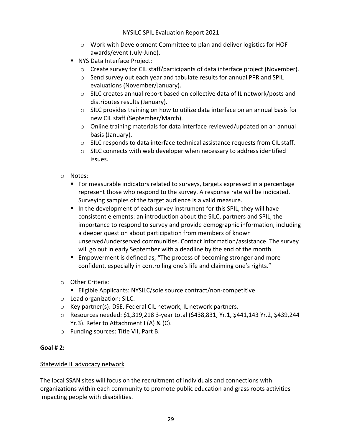- o Work with Development Committee to plan and deliver logistics for HOF awards/event (July-June).
- NYS Data Interface Project:
	- $\circ$  Create survey for CIL staff/participants of data interface project (November).
	- o Send survey out each year and tabulate results for annual PPR and SPIL evaluations (November/January).
	- o SILC creates annual report based on collective data of IL network/posts and distributes results (January).
	- $\circ$  SILC provides training on how to utilize data interface on an annual basis for new CIL staff (September/March).
	- $\circ$  Online training materials for data interface reviewed/updated on an annual basis (January).
	- $\circ$  SILC responds to data interface technical assistance requests from CIL staff.
	- o SILC connects with web developer when necessary to address identified issues.
- o Notes:
	- For measurable indicators related to surveys, targets expressed in a percentage represent those who respond to the survey. A response rate will be indicated. Surveying samples of the target audience is a valid measure.
	- In the development of each survey instrument for this SPIL, they will have consistent elements: an introduction about the SILC, partners and SPIL, the importance to respond to survey and provide demographic information, including a deeper question about participation from members of known unserved/underserved communities. Contact information/assistance. The survey will go out in early September with a deadline by the end of the month.
	- Empowerment is defined as, "The process of becoming stronger and more confident, especially in controlling one's life and claiming one's rights."
- o Other Criteria:
	- Eligible Applicants: NYSILC/sole source contract/non-competitive.
- o Lead organization: SILC.
- o Key partner(s): DSE, Federal CIL network, IL network partners.
- o Resources needed: \$1,319,218 3-year total (\$438,831, Yr.1, \$441,143 Yr.2, \$439,244 Yr.3). Refer to Attachment I (A) & (C).
- o Funding sources: Title VII, Part B.

#### **Goal # 2:**

#### Statewide IL advocacy network

The local SSAN sites will focus on the recruitment of individuals and connections with organizations within each community to promote public education and grass roots activities impacting people with disabilities.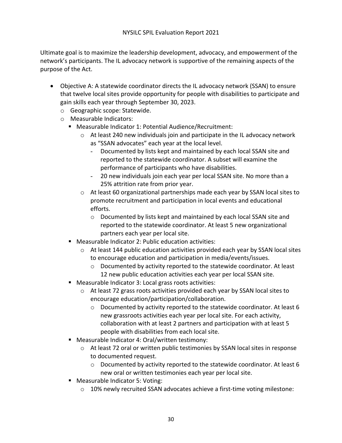Ultimate goal is to maximize the leadership development, advocacy, and empowerment of the network's participants. The IL advocacy network is supportive of the remaining aspects of the purpose of the Act.

- Objective A: A statewide coordinator directs the IL advocacy network (SSAN) to ensure that twelve local sites provide opportunity for people with disabilities to participate and gain skills each year through September 30, 2023.
	- o Geographic scope: Statewide.
	- o Measurable Indicators:
		- Measurable Indicator 1: Potential Audience/Recruitment:
			- o At least 240 new individuals join and participate in the IL advocacy network as "SSAN advocates" each year at the local level.
				- Documented by lists kept and maintained by each local SSAN site and reported to the statewide coordinator. A subset will examine the performance of participants who have disabilities.
				- 20 new individuals join each year per local SSAN site. No more than a 25% attrition rate from prior year.
			- $\circ$  At least 60 organizational partnerships made each year by SSAN local sites to promote recruitment and participation in local events and educational efforts.
				- o Documented by lists kept and maintained by each local SSAN site and reported to the statewide coordinator. At least 5 new organizational partners each year per local site.
		- Measurable Indicator 2: Public education activities:
			- $\circ$  At least 144 public education activities provided each year by SSAN local sites to encourage education and participation in media/events/issues.
				- o Documented by activity reported to the statewide coordinator. At least 12 new public education activities each year per local SSAN site.
		- Measurable Indicator 3: Local grass roots activities:
			- o At least 72 grass roots activities provided each year by SSAN local sites to encourage education/participation/collaboration.
				- o Documented by activity reported to the statewide coordinator. At least 6 new grassroots activities each year per local site. For each activity, collaboration with at least 2 partners and participation with at least 5 people with disabilities from each local site.
		- Measurable Indicator 4: Oral/written testimony:
			- $\circ$  At least 72 oral or written public testimonies by SSAN local sites in response to documented request.
				- $\circ$  Documented by activity reported to the statewide coordinator. At least 6 new oral or written testimonies each year per local site.
		- Measurable Indicator 5: Voting:
			- $\circ$  10% newly recruited SSAN advocates achieve a first-time voting milestone: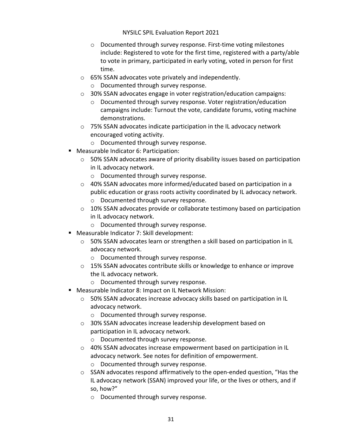- o Documented through survey response. First-time voting milestones include: Registered to vote for the first time, registered with a party/able to vote in primary, participated in early voting, voted in person for first time.
- o 65% SSAN advocates vote privately and independently.
	- o Documented through survey response.
- o 30% SSAN advocates engage in voter registration/education campaigns:
	- o Documented through survey response. Voter registration/education campaigns include: Turnout the vote, candidate forums, voting machine demonstrations.
- o 75% SSAN advocates indicate participation in the IL advocacy network encouraged voting activity.
	- o Documented through survey response.
- Measurable Indicator 6: Participation:
	- $\circ$  50% SSAN advocates aware of priority disability issues based on participation in IL advocacy network.
		- o Documented through survey response.
	- $\circ$  40% SSAN advocates more informed/educated based on participation in a public education or grass roots activity coordinated by IL advocacy network.
		- o Documented through survey response.
	- o 10% SSAN advocates provide or collaborate testimony based on participation in IL advocacy network.
		- o Documented through survey response.
- Measurable Indicator 7: Skill development:
	- o 50% SSAN advocates learn or strengthen a skill based on participation in IL advocacy network.
		- o Documented through survey response.
	- $\circ$  15% SSAN advocates contribute skills or knowledge to enhance or improve the IL advocacy network.
		- o Documented through survey response.
- Measurable Indicator 8: Impact on IL Network Mission:
	- o 50% SSAN advocates increase advocacy skills based on participation in IL advocacy network.
		- o Documented through survey response.
	- o 30% SSAN advocates increase leadership development based on participation in IL advocacy network.
		- o Documented through survey response.
	- o 40% SSAN advocates increase empowerment based on participation in IL advocacy network. See notes for definition of empowerment.
		- o Documented through survey response.
	- o SSAN advocates respond affirmatively to the open-ended question, "Has the IL advocacy network (SSAN) improved your life, or the lives or others, and if so, how?"
		- o Documented through survey response.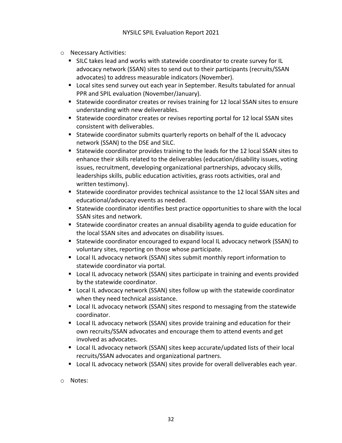- o Necessary Activities:
	- SILC takes lead and works with statewide coordinator to create survey for IL advocacy network (SSAN) sites to send out to their participants (recruits/SSAN advocates) to address measurable indicators (November).
	- Local sites send survey out each year in September. Results tabulated for annual PPR and SPIL evaluation (November/January).
	- Statewide coordinator creates or revises training for 12 local SSAN sites to ensure understanding with new deliverables.
	- Statewide coordinator creates or revises reporting portal for 12 local SSAN sites consistent with deliverables.
	- Statewide coordinator submits quarterly reports on behalf of the IL advocacy network (SSAN) to the DSE and SILC.
	- Statewide coordinator provides training to the leads for the 12 local SSAN sites to enhance their skills related to the deliverables (education/disability issues, voting issues, recruitment, developing organizational partnerships, advocacy skills, leaderships skills, public education activities, grass roots activities, oral and written testimony).
	- Statewide coordinator provides technical assistance to the 12 local SSAN sites and educational/advocacy events as needed.
	- Statewide coordinator identifies best practice opportunities to share with the local SSAN sites and network.
	- Statewide coordinator creates an annual disability agenda to guide education for the local SSAN sites and advocates on disability issues.
	- Statewide coordinator encouraged to expand local IL advocacy network (SSAN) to voluntary sites, reporting on those whose participate.
	- Local IL advocacy network (SSAN) sites submit monthly report information to statewide coordinator via portal.
	- Local IL advocacy network (SSAN) sites participate in training and events provided by the statewide coordinator.
	- Local IL advocacy network (SSAN) sites follow up with the statewide coordinator when they need technical assistance.
	- Local IL advocacy network (SSAN) sites respond to messaging from the statewide coordinator.
	- Local IL advocacy network (SSAN) sites provide training and education for their own recruits/SSAN advocates and encourage them to attend events and get involved as advocates.
	- Local IL advocacy network (SSAN) sites keep accurate/updated lists of their local recruits/SSAN advocates and organizational partners.
	- Local IL advocacy network (SSAN) sites provide for overall deliverables each year.
- o Notes: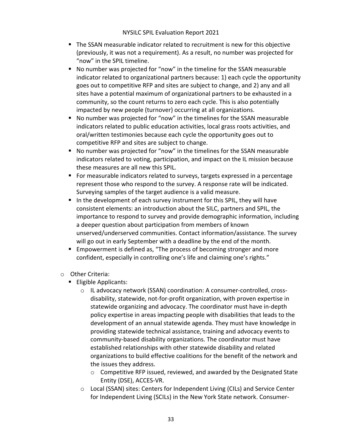- The SSAN measurable indicator related to recruitment is new for this objective (previously, it was not a requirement). As a result, no number was projected for "now" in the SPIL timeline.
- No number was projected for "now" in the timeline for the SSAN measurable indicator related to organizational partners because: 1) each cycle the opportunity goes out to competitive RFP and sites are subject to change, and 2) any and all sites have a potential maximum of organizational partners to be exhausted in a community, so the count returns to zero each cycle. This is also potentially impacted by new people (turnover) occurring at all organizations.
- No number was projected for "now" in the timelines for the SSAN measurable indicators related to public education activities, local grass roots activities, and oral/written testimonies because each cycle the opportunity goes out to competitive RFP and sites are subject to change.
- No number was projected for "now" in the timelines for the SSAN measurable indicators related to voting, participation, and impact on the IL mission because these measures are all new this SPIL.
- For measurable indicators related to surveys, targets expressed in a percentage represent those who respond to the survey. A response rate will be indicated. Surveying samples of the target audience is a valid measure.
- In the development of each survey instrument for this SPIL, they will have consistent elements: an introduction about the SILC, partners and SPIL, the importance to respond to survey and provide demographic information, including a deeper question about participation from members of known unserved/underserved communities. Contact information/assistance. The survey will go out in early September with a deadline by the end of the month.
- Empowerment is defined as, "The process of becoming stronger and more confident, especially in controlling one's life and claiming one's rights."
- o Other Criteria:
	- Eligible Applicants:
		- o IL advocacy network (SSAN) coordination: A consumer-controlled, crossdisability, statewide, not-for-profit organization, with proven expertise in statewide organizing and advocacy. The coordinator must have in-depth policy expertise in areas impacting people with disabilities that leads to the development of an annual statewide agenda. They must have knowledge in providing statewide technical assistance, training and advocacy events to community-based disability organizations. The coordinator must have established relationships with other statewide disability and related organizations to build effective coalitions for the benefit of the network and the issues they address.
			- o Competitive RFP issued, reviewed, and awarded by the Designated State Entity (DSE), ACCES-VR.
		- $\circ$  Local (SSAN) sites: Centers for Independent Living (CILs) and Service Center for Independent Living (SCILs) in the New York State network. Consumer-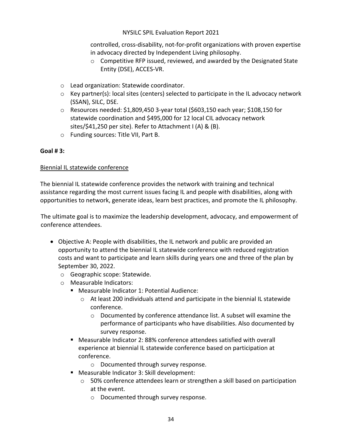controlled, cross-disability, not-for-profit organizations with proven expertise in advocacy directed by Independent Living philosophy.

- o Competitive RFP issued, reviewed, and awarded by the Designated State Entity (DSE), ACCES-VR.
- o Lead organization: Statewide coordinator.
- o Key partner(s): local sites (centers) selected to participate in the IL advocacy network (SSAN), SILC, DSE.
- o Resources needed: \$1,809,450 3-year total (\$603,150 each year; \$108,150 for statewide coordination and \$495,000 for 12 local CIL advocacy network sites/\$41,250 per site). Refer to Attachment I (A) & (B).
- o Funding sources: Title VII, Part B.

#### **Goal # 3:**

#### Biennial IL statewide conference

The biennial IL statewide conference provides the network with training and technical assistance regarding the most current issues facing IL and people with disabilities, along with opportunities to network, generate ideas, learn best practices, and promote the IL philosophy.

The ultimate goal is to maximize the leadership development, advocacy, and empowerment of conference attendees.

- Objective A: People with disabilities, the IL network and public are provided an opportunity to attend the biennial IL statewide conference with reduced registration costs and want to participate and learn skills during years one and three of the plan by September 30, 2022.
	- o Geographic scope: Statewide.
	- o Measurable Indicators:
		- Measurable Indicator 1: Potential Audience:
			- $\circ$  At least 200 individuals attend and participate in the biennial IL statewide conference.
				- o Documented by conference attendance list. A subset will examine the performance of participants who have disabilities. Also documented by survey response.
		- Measurable Indicator 2: 88% conference attendees satisfied with overall experience at biennial IL statewide conference based on participation at conference.
			- o Documented through survey response.
		- Measurable Indicator 3: Skill development:
			- $\circ$  50% conference attendees learn or strengthen a skill based on participation at the event.
				- o Documented through survey response.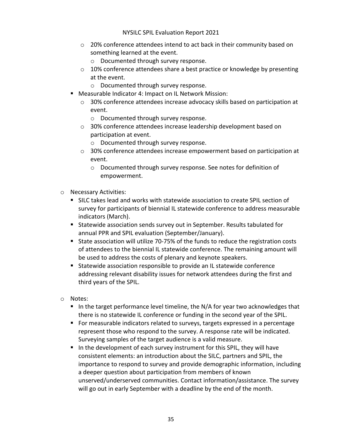- $\circ$  20% conference attendees intend to act back in their community based on something learned at the event.
	- o Documented through survey response.
- $\circ$  10% conference attendees share a best practice or knowledge by presenting at the event.
	- o Documented through survey response.
- Measurable Indicator 4: Impact on IL Network Mission:
	- $\circ$  30% conference attendees increase advocacy skills based on participation at event.
		- o Documented through survey response.
	- o 30% conference attendees increase leadership development based on participation at event.
		- o Documented through survey response.
	- $\circ$  30% conference attendees increase empowerment based on participation at event.
		- o Documented through survey response. See notes for definition of empowerment.
- o Necessary Activities:
	- SILC takes lead and works with statewide association to create SPIL section of survey for participants of biennial IL statewide conference to address measurable indicators (March).
	- Statewide association sends survey out in September. Results tabulated for annual PPR and SPIL evaluation (September/January).
	- State association will utilize 70-75% of the funds to reduce the registration costs of attendees to the biennial IL statewide conference. The remaining amount will be used to address the costs of plenary and keynote speakers.
	- Statewide association responsible to provide an IL statewide conference addressing relevant disability issues for network attendees during the first and third years of the SPIL.
- o Notes:
	- In the target performance level timeline, the N/A for year two acknowledges that there is no statewide IL conference or funding in the second year of the SPIL.
	- For measurable indicators related to surveys, targets expressed in a percentage represent those who respond to the survey. A response rate will be indicated. Surveying samples of the target audience is a valid measure.
	- In the development of each survey instrument for this SPIL, they will have consistent elements: an introduction about the SILC, partners and SPIL, the importance to respond to survey and provide demographic information, including a deeper question about participation from members of known unserved/underserved communities. Contact information/assistance. The survey will go out in early September with a deadline by the end of the month.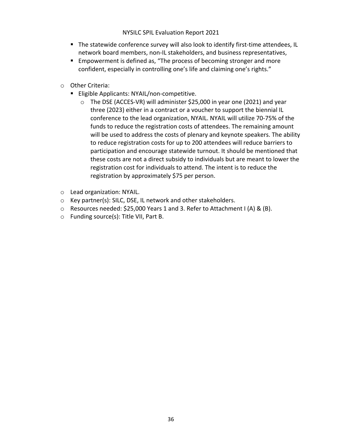- The statewide conference survey will also look to identify first-time attendees, IL network board members, non-IL stakeholders, and business representatives,
- Empowerment is defined as, "The process of becoming stronger and more confident, especially in controlling one's life and claiming one's rights."
- o Other Criteria:
	- Eligible Applicants: NYAIL/non-competitive.
		- o The DSE (ACCES-VR) will administer \$25,000 in year one (2021) and year three (2023) either in a contract or a voucher to support the biennial IL conference to the lead organization, NYAIL. NYAIL will utilize 70-75% of the funds to reduce the registration costs of attendees. The remaining amount will be used to address the costs of plenary and keynote speakers. The ability to reduce registration costs for up to 200 attendees will reduce barriers to participation and encourage statewide turnout. It should be mentioned that these costs are not a direct subsidy to individuals but are meant to lower the registration cost for individuals to attend. The intent is to reduce the registration by approximately \$75 per person.
- o Lead organization: NYAIL.
- o Key partner(s): SILC, DSE, IL network and other stakeholders.
- $\circ$  Resources needed: \$25,000 Years 1 and 3. Refer to Attachment I (A) & (B).
- o Funding source(s): Title VII, Part B.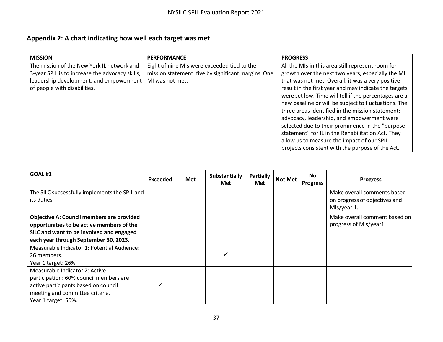# **Appendix 2: A chart indicating how well each target was met**

| <b>MISSION</b>                                  | <b>PERFORMANCE</b>                                  | <b>PROGRESS</b>                                       |
|-------------------------------------------------|-----------------------------------------------------|-------------------------------------------------------|
| The mission of the New York IL network and      | Eight of nine MIs were exceeded tied to the         | All the MIs in this area still represent room for     |
| 3-year SPIL is to increase the advocacy skills, | mission statement: five by significant margins. One | growth over the next two years, especially the MI     |
| leadership development, and empowerment         | MI was not met.                                     | that was not met. Overall, it was a very positive     |
| of people with disabilities.                    |                                                     | result in the first year and may indicate the targets |
|                                                 |                                                     | were set low. Time will tell if the percentages are a |
|                                                 |                                                     | new baseline or will be subject to fluctuations. The  |
|                                                 |                                                     | three areas identified in the mission statement:      |
|                                                 |                                                     | advocacy, leadership, and empowerment were            |
|                                                 |                                                     | selected due to their prominence in the "purpose      |
|                                                 |                                                     | statement" for IL in the Rehabilitation Act. They     |
|                                                 |                                                     | allow us to measure the impact of our SPIL            |
|                                                 |                                                     | projects consistent with the purpose of the Act.      |

| <b>GOAL #1</b>                                                                                                                                                                     | <b>Exceeded</b> | Met | <b>Substantially</b><br><b>Met</b> | Partially<br><b>Met</b> | <b>Not Met</b> | No l<br><b>Progress</b> | <b>Progress</b>                                                             |
|------------------------------------------------------------------------------------------------------------------------------------------------------------------------------------|-----------------|-----|------------------------------------|-------------------------|----------------|-------------------------|-----------------------------------------------------------------------------|
| The SILC successfully implements the SPIL and<br>its duties.                                                                                                                       |                 |     |                                    |                         |                |                         | Make overall comments based<br>on progress of objectives and<br>MIs/year 1. |
| <b>Objective A: Council members are provided</b><br>opportunities to be active members of the<br>SILC and want to be involved and engaged<br>each year through September 30, 2023. |                 |     |                                    |                         |                |                         | Make overall comment based on<br>progress of MIs/year1.                     |
| Measurable Indicator 1: Potential Audience:<br>26 members.<br>Year 1 target: 26%.                                                                                                  |                 |     |                                    |                         |                |                         |                                                                             |
| Measurable Indicator 2: Active<br>participation: 60% council members are<br>active participants based on council<br>meeting and committee criteria.<br>Year 1 target: 50%.         |                 |     |                                    |                         |                |                         |                                                                             |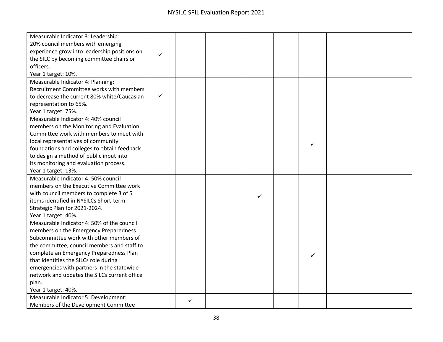| Measurable Indicator 3: Leadership:          |              |   |   |   |  |
|----------------------------------------------|--------------|---|---|---|--|
| 20% council members with emerging            |              |   |   |   |  |
| experience grow into leadership positions on | ✓            |   |   |   |  |
| the SILC by becoming committee chairs or     |              |   |   |   |  |
| officers.                                    |              |   |   |   |  |
| Year 1 target: 10%.                          |              |   |   |   |  |
| Measurable Indicator 4: Planning:            |              |   |   |   |  |
| Recruitment Committee works with members     |              |   |   |   |  |
| to decrease the current 80% white/Caucasian  | $\checkmark$ |   |   |   |  |
| representation to 65%.                       |              |   |   |   |  |
| Year 1 target: 75%.                          |              |   |   |   |  |
| Measurable Indicator 4: 40% council          |              |   |   |   |  |
| members on the Monitoring and Evaluation     |              |   |   |   |  |
| Committee work with members to meet with     |              |   |   |   |  |
| local representatives of community           |              |   |   | ✓ |  |
| foundations and colleges to obtain feedback  |              |   |   |   |  |
| to design a method of public input into      |              |   |   |   |  |
| its monitoring and evaluation process.       |              |   |   |   |  |
| Year 1 target: 13%.                          |              |   |   |   |  |
| Measurable Indicator 4: 50% council          |              |   |   |   |  |
| members on the Executive Committee work      |              |   |   |   |  |
| with council members to complete 3 of 5      |              |   | ✓ |   |  |
| items identified in NYSILCs Short-term       |              |   |   |   |  |
| Strategic Plan for 2021-2024.                |              |   |   |   |  |
| Year 1 target: 40%.                          |              |   |   |   |  |
| Measurable Indicator 4: 50% of the council   |              |   |   |   |  |
| members on the Emergency Preparedness        |              |   |   |   |  |
| Subcommittee work with other members of      |              |   |   |   |  |
| the committee, council members and staff to  |              |   |   |   |  |
| complete an Emergency Preparedness Plan      |              |   |   | ✓ |  |
| that identifies the SILCs role during        |              |   |   |   |  |
| emergencies with partners in the statewide   |              |   |   |   |  |
| network and updates the SILCs current office |              |   |   |   |  |
| plan.                                        |              |   |   |   |  |
| Year 1 target: 40%.                          |              |   |   |   |  |
| Measurable Indicator 5: Development:         |              | ✓ |   |   |  |
| Members of the Development Committee         |              |   |   |   |  |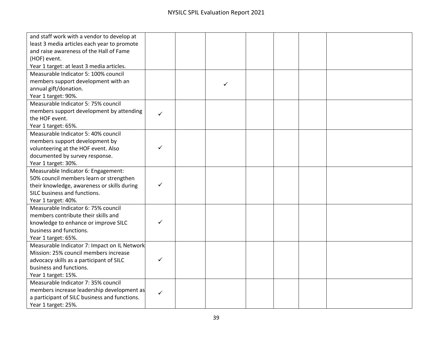| and staff work with a vendor to develop at    |   |   |  |  |
|-----------------------------------------------|---|---|--|--|
| least 3 media articles each year to promote   |   |   |  |  |
| and raise awareness of the Hall of Fame       |   |   |  |  |
| (HOF) event.                                  |   |   |  |  |
| Year 1 target: at least 3 media articles.     |   |   |  |  |
| Measurable Indicator 5: 100% council          |   |   |  |  |
| members support development with an           |   |   |  |  |
| annual gift/donation.                         |   | ✓ |  |  |
| Year 1 target: 90%.                           |   |   |  |  |
| Measurable Indicator 5: 75% council           |   |   |  |  |
| members support development by attending      |   |   |  |  |
| the HOF event.                                | ✓ |   |  |  |
| Year 1 target: 65%.                           |   |   |  |  |
| Measurable Indicator 5: 40% council           |   |   |  |  |
| members support development by                |   |   |  |  |
| volunteering at the HOF event. Also           |   |   |  |  |
| documented by survey response.                |   |   |  |  |
| Year 1 target: 30%.                           |   |   |  |  |
| Measurable Indicator 6: Engagement:           |   |   |  |  |
| 50% council members learn or strengthen       |   |   |  |  |
| their knowledge, awareness or skills during   | ✓ |   |  |  |
| SILC business and functions.                  |   |   |  |  |
| Year 1 target: 40%.                           |   |   |  |  |
| Measurable Indicator 6: 75% council           |   |   |  |  |
| members contribute their skills and           |   |   |  |  |
| knowledge to enhance or improve SILC          |   |   |  |  |
| business and functions.                       |   |   |  |  |
| Year 1 target: 65%.                           |   |   |  |  |
| Measurable Indicator 7: Impact on IL Network  |   |   |  |  |
| Mission: 25% council members increase         |   |   |  |  |
| advocacy skills as a participant of SILC      |   |   |  |  |
| business and functions.                       |   |   |  |  |
| Year 1 target: 15%.                           |   |   |  |  |
| Measurable Indicator 7: 35% council           |   |   |  |  |
| members increase leadership development as    | ✓ |   |  |  |
| a participant of SILC business and functions. |   |   |  |  |
| Year 1 target: 25%.                           |   |   |  |  |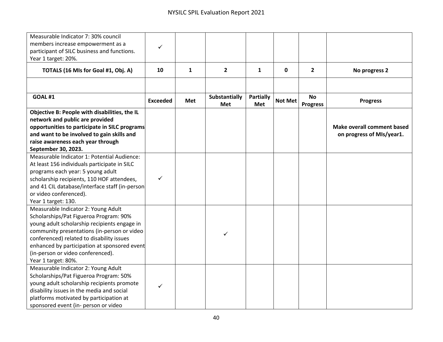| Measurable Indicator 7: 30% council<br>members increase empowerment as a<br>participant of SILC business and functions.<br>Year 1 target: 20%. | ✓               |            |                             |                  |                |                              |                                                                |
|------------------------------------------------------------------------------------------------------------------------------------------------|-----------------|------------|-----------------------------|------------------|----------------|------------------------------|----------------------------------------------------------------|
| TOTALS (16 MIs for Goal #1, Obj. A)                                                                                                            | 10              | 1          | $\mathbf{2}$                | 1                | 0              | $\overline{2}$               | No progress 2                                                  |
|                                                                                                                                                |                 |            |                             |                  |                |                              |                                                                |
| <b>GOAL #1</b>                                                                                                                                 | <b>Exceeded</b> | <b>Met</b> | <b>Substantially</b><br>Met | Partially<br>Met | <b>Not Met</b> | <b>No</b><br><b>Progress</b> | <b>Progress</b>                                                |
| Objective B: People with disabilities, the IL<br>network and public are provided                                                               |                 |            |                             |                  |                |                              |                                                                |
| opportunities to participate in SILC programs<br>and want to be involved to gain skills and                                                    |                 |            |                             |                  |                |                              | <b>Make overall comment based</b><br>on progress of MIs/year1. |
| raise awareness each year through<br>September 30, 2023.                                                                                       |                 |            |                             |                  |                |                              |                                                                |
| Measurable Indicator 1: Potential Audience:                                                                                                    |                 |            |                             |                  |                |                              |                                                                |
| At least 156 individuals participate in SILC                                                                                                   |                 |            |                             |                  |                |                              |                                                                |
| programs each year: 5 young adult                                                                                                              |                 |            |                             |                  |                |                              |                                                                |
| scholarship recipients, 110 HOF attendees,                                                                                                     | $\checkmark$    |            |                             |                  |                |                              |                                                                |
| and 41 CIL database/interface staff (in-person                                                                                                 |                 |            |                             |                  |                |                              |                                                                |
| or video conferenced).                                                                                                                         |                 |            |                             |                  |                |                              |                                                                |
| Year 1 target: 130.                                                                                                                            |                 |            |                             |                  |                |                              |                                                                |
| Measurable Indicator 2: Young Adult                                                                                                            |                 |            |                             |                  |                |                              |                                                                |
| Scholarships/Pat Figueroa Program: 90%                                                                                                         |                 |            |                             |                  |                |                              |                                                                |
| young adult scholarship recipients engage in                                                                                                   |                 |            |                             |                  |                |                              |                                                                |
| community presentations (in-person or video                                                                                                    |                 |            | ✓                           |                  |                |                              |                                                                |
| conferenced) related to disability issues                                                                                                      |                 |            |                             |                  |                |                              |                                                                |
| enhanced by participation at sponsored event                                                                                                   |                 |            |                             |                  |                |                              |                                                                |
| (in-person or video conferenced).                                                                                                              |                 |            |                             |                  |                |                              |                                                                |
| Year 1 target: 80%.                                                                                                                            |                 |            |                             |                  |                |                              |                                                                |
| Measurable Indicator 2: Young Adult                                                                                                            |                 |            |                             |                  |                |                              |                                                                |
| Scholarships/Pat Figueroa Program: 50%                                                                                                         |                 |            |                             |                  |                |                              |                                                                |
| young adult scholarship recipients promote                                                                                                     | ✓               |            |                             |                  |                |                              |                                                                |
| disability issues in the media and social                                                                                                      |                 |            |                             |                  |                |                              |                                                                |
| platforms motivated by participation at                                                                                                        |                 |            |                             |                  |                |                              |                                                                |
| sponsored event (in- person or video                                                                                                           |                 |            |                             |                  |                |                              |                                                                |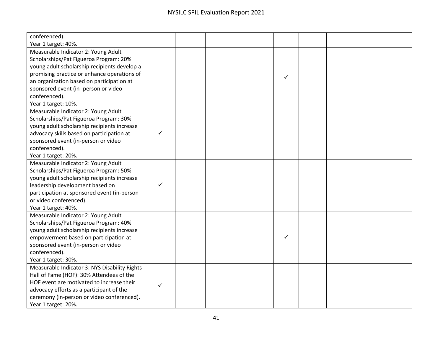| conferenced).                                 |   |  |   |  |
|-----------------------------------------------|---|--|---|--|
| Year 1 target: 40%.                           |   |  |   |  |
| Measurable Indicator 2: Young Adult           |   |  |   |  |
| Scholarships/Pat Figueroa Program: 20%        |   |  |   |  |
| young adult scholarship recipients develop a  |   |  |   |  |
| promising practice or enhance operations of   |   |  | ✓ |  |
| an organization based on participation at     |   |  |   |  |
| sponsored event (in- person or video          |   |  |   |  |
| conferenced).                                 |   |  |   |  |
| Year 1 target: 10%.                           |   |  |   |  |
| Measurable Indicator 2: Young Adult           |   |  |   |  |
| Scholarships/Pat Figueroa Program: 30%        |   |  |   |  |
| young adult scholarship recipients increase   |   |  |   |  |
| advocacy skills based on participation at     |   |  |   |  |
| sponsored event (in-person or video           |   |  |   |  |
| conferenced).                                 |   |  |   |  |
| Year 1 target: 20%.                           |   |  |   |  |
| Measurable Indicator 2: Young Adult           |   |  |   |  |
| Scholarships/Pat Figueroa Program: 50%        |   |  |   |  |
| young adult scholarship recipients increase   |   |  |   |  |
| leadership development based on               | ✓ |  |   |  |
| participation at sponsored event (in-person   |   |  |   |  |
| or video conferenced).                        |   |  |   |  |
| Year 1 target: 40%.                           |   |  |   |  |
| Measurable Indicator 2: Young Adult           |   |  |   |  |
| Scholarships/Pat Figueroa Program: 40%        |   |  |   |  |
| young adult scholarship recipients increase   |   |  |   |  |
| empowerment based on participation at         |   |  | ✓ |  |
| sponsored event (in-person or video           |   |  |   |  |
| conferenced).                                 |   |  |   |  |
| Year 1 target: 30%.                           |   |  |   |  |
| Measurable Indicator 3: NYS Disability Rights |   |  |   |  |
| Hall of Fame (HOF): 30% Attendees of the      |   |  |   |  |
| HOF event are motivated to increase their     | ✓ |  |   |  |
| advocacy efforts as a participant of the      |   |  |   |  |
| ceremony (in-person or video conferenced).    |   |  |   |  |
| Year 1 target: 20%.                           |   |  |   |  |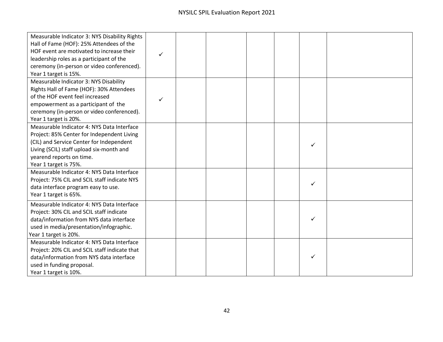| Measurable Indicator 3: NYS Disability Rights<br>Hall of Fame (HOF): 25% Attendees of the<br>HOF event are motivated to increase their<br>leadership roles as a participant of the<br>ceremony (in-person or video conferenced).<br>Year 1 target is 15%. |  |  |   |  |
|-----------------------------------------------------------------------------------------------------------------------------------------------------------------------------------------------------------------------------------------------------------|--|--|---|--|
| Measurable Indicator 3: NYS Disability<br>Rights Hall of Fame (HOF): 30% Attendees<br>of the HOF event feel increased<br>empowerment as a participant of the<br>ceremony (in-person or video conferenced).<br>Year 1 target is 20%.                       |  |  |   |  |
| Measurable Indicator 4: NYS Data Interface<br>Project: 85% Center for Independent Living<br>(CIL) and Service Center for Independent<br>Living (SCIL) staff upload six-month and<br>yearend reports on time.<br>Year 1 target is 75%.                     |  |  | ✓ |  |
| Measurable Indicator 4: NYS Data Interface<br>Project: 75% CIL and SCIL staff indicate NYS<br>data interface program easy to use.<br>Year 1 target is 65%.                                                                                                |  |  | ✓ |  |
| Measurable Indicator 4: NYS Data Interface<br>Project: 30% CIL and SCIL staff indicate<br>data/information from NYS data interface<br>used in media/presentation/infographic.<br>Year 1 target is 20%.                                                    |  |  |   |  |
| Measurable Indicator 4: NYS Data Interface<br>Project: 20% CIL and SCIL staff indicate that<br>data/information from NYS data interface<br>used in funding proposal.<br>Year 1 target is 10%.                                                             |  |  |   |  |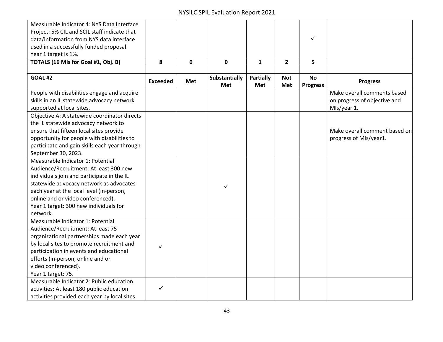| Measurable Indicator 4: NYS Data Interface    |                 |            |               |              |                |                 |                               |
|-----------------------------------------------|-----------------|------------|---------------|--------------|----------------|-----------------|-------------------------------|
| Project: 5% CIL and SCIL staff indicate that  |                 |            |               |              |                |                 |                               |
| data/information from NYS data interface      |                 |            |               |              |                | ✓               |                               |
| used in a successfully funded proposal.       |                 |            |               |              |                |                 |                               |
| Year 1 target is 1%.                          |                 |            |               |              |                |                 |                               |
| TOTALS (16 MIs for Goal #1, Obj. B)           | 8               | 0          | $\mathbf 0$   | $\mathbf{1}$ | $\overline{2}$ | 5               |                               |
|                                               |                 |            |               |              |                |                 |                               |
| <b>GOAL #2</b>                                |                 |            | Substantially | Partially    | <b>Not</b>     | <b>No</b>       |                               |
|                                               | <b>Exceeded</b> | <b>Met</b> | Met           | Met          | Met            | <b>Progress</b> | <b>Progress</b>               |
| People with disabilities engage and acquire   |                 |            |               |              |                |                 | Make overall comments based   |
| skills in an IL statewide advocacy network    |                 |            |               |              |                |                 | on progress of objective and  |
| supported at local sites.                     |                 |            |               |              |                |                 | MIs/year 1.                   |
| Objective A: A statewide coordinator directs  |                 |            |               |              |                |                 |                               |
| the IL statewide advocacy network to          |                 |            |               |              |                |                 |                               |
| ensure that fifteen local sites provide       |                 |            |               |              |                |                 | Make overall comment based on |
| opportunity for people with disabilities to   |                 |            |               |              |                |                 | progress of MIs/year1.        |
| participate and gain skills each year through |                 |            |               |              |                |                 |                               |
| September 30, 2023.                           |                 |            |               |              |                |                 |                               |
| Measurable Indicator 1: Potential             |                 |            |               |              |                |                 |                               |
| Audience/Recruitment: At least 300 new        |                 |            |               |              |                |                 |                               |
| individuals join and participate in the IL    |                 |            |               |              |                |                 |                               |
| statewide advocacy network as advocates       |                 |            | ✓             |              |                |                 |                               |
| each year at the local level (in-person,      |                 |            |               |              |                |                 |                               |
| online and or video conferenced).             |                 |            |               |              |                |                 |                               |
| Year 1 target: 300 new individuals for        |                 |            |               |              |                |                 |                               |
| network.                                      |                 |            |               |              |                |                 |                               |
| Measurable Indicator 1: Potential             |                 |            |               |              |                |                 |                               |
| Audience/Recruitment: At least 75             |                 |            |               |              |                |                 |                               |
| organizational partnerships made each year    |                 |            |               |              |                |                 |                               |
| by local sites to promote recruitment and     | ✓               |            |               |              |                |                 |                               |
| participation in events and educational       |                 |            |               |              |                |                 |                               |
| efforts (in-person, online and or             |                 |            |               |              |                |                 |                               |
| video conferenced).                           |                 |            |               |              |                |                 |                               |
| Year 1 target: 75.                            |                 |            |               |              |                |                 |                               |
| Measurable Indicator 2: Public education      |                 |            |               |              |                |                 |                               |
| activities: At least 180 public education     | ✓               |            |               |              |                |                 |                               |
| activities provided each year by local sites  |                 |            |               |              |                |                 |                               |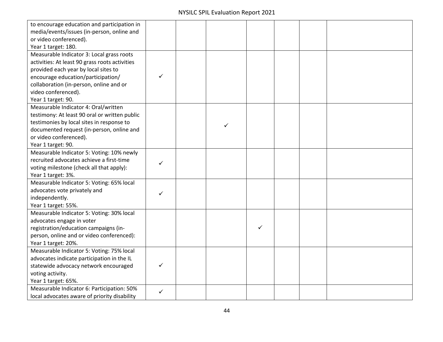| to encourage education and participation in    |   |   |   |  |  |
|------------------------------------------------|---|---|---|--|--|
| media/events/issues (in-person, online and     |   |   |   |  |  |
| or video conferenced).                         |   |   |   |  |  |
| Year 1 target: 180.                            |   |   |   |  |  |
| Measurable Indicator 3: Local grass roots      |   |   |   |  |  |
| activities: At least 90 grass roots activities |   |   |   |  |  |
| provided each year by local sites to           |   |   |   |  |  |
| encourage education/participation/             | ✓ |   |   |  |  |
| collaboration (in-person, online and or        |   |   |   |  |  |
| video conferenced).                            |   |   |   |  |  |
| Year 1 target: 90.                             |   |   |   |  |  |
| Measurable Indicator 4: Oral/written           |   |   |   |  |  |
| testimony: At least 90 oral or written public  |   |   |   |  |  |
| testimonies by local sites in response to      |   | ✓ |   |  |  |
| documented request (in-person, online and      |   |   |   |  |  |
| or video conferenced).                         |   |   |   |  |  |
| Year 1 target: 90.                             |   |   |   |  |  |
| Measurable Indicator 5: Voting: 10% newly      |   |   |   |  |  |
| recruited advocates achieve a first-time       | ✓ |   |   |  |  |
| voting milestone (check all that apply):       |   |   |   |  |  |
| Year 1 target: 3%.                             |   |   |   |  |  |
| Measurable Indicator 5: Voting: 65% local      |   |   |   |  |  |
| advocates vote privately and                   | ✓ |   |   |  |  |
| independently.                                 |   |   |   |  |  |
| Year 1 target: 55%.                            |   |   |   |  |  |
| Measurable Indicator 5: Voting: 30% local      |   |   |   |  |  |
| advocates engage in voter                      |   |   |   |  |  |
| registration/education campaigns (in-          |   |   | ✓ |  |  |
| person, online and or video conferenced):      |   |   |   |  |  |
| Year 1 target: 20%.                            |   |   |   |  |  |
| Measurable Indicator 5: Voting: 75% local      |   |   |   |  |  |
| advocates indicate participation in the IL     |   |   |   |  |  |
| statewide advocacy network encouraged          |   |   |   |  |  |
| voting activity.                               |   |   |   |  |  |
| Year 1 target: 65%.                            |   |   |   |  |  |
| Measurable Indicator 6: Participation: 50%     | ✓ |   |   |  |  |
| local advocates aware of priority disability   |   |   |   |  |  |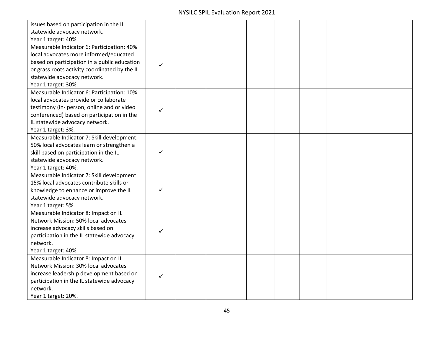| issues based on participation in the IL                                      |   |  |  |  |
|------------------------------------------------------------------------------|---|--|--|--|
| statewide advocacy network.                                                  |   |  |  |  |
| Year 1 target: 40%.                                                          |   |  |  |  |
| Measurable Indicator 6: Participation: 40%                                   |   |  |  |  |
| local advocates more informed/educated                                       |   |  |  |  |
| based on participation in a public education                                 | ✓ |  |  |  |
| or grass roots activity coordinated by the IL                                |   |  |  |  |
| statewide advocacy network.                                                  |   |  |  |  |
| Year 1 target: 30%.                                                          |   |  |  |  |
| Measurable Indicator 6: Participation: 10%                                   |   |  |  |  |
| local advocates provide or collaborate                                       |   |  |  |  |
| testimony (in- person, online and or video                                   | ✓ |  |  |  |
| conferenced) based on participation in the                                   |   |  |  |  |
| IL statewide advocacy network.                                               |   |  |  |  |
| Year 1 target: 3%.                                                           |   |  |  |  |
| Measurable Indicator 7: Skill development:                                   |   |  |  |  |
| 50% local advocates learn or strengthen a                                    |   |  |  |  |
| skill based on participation in the IL                                       | ✓ |  |  |  |
| statewide advocacy network.                                                  |   |  |  |  |
| Year 1 target: 40%.                                                          |   |  |  |  |
| Measurable Indicator 7: Skill development:                                   |   |  |  |  |
| 15% local advocates contribute skills or                                     |   |  |  |  |
| knowledge to enhance or improve the IL                                       |   |  |  |  |
| statewide advocacy network.                                                  |   |  |  |  |
| Year 1 target: 5%.                                                           |   |  |  |  |
| Measurable Indicator 8: Impact on IL                                         |   |  |  |  |
| Network Mission: 50% local advocates                                         |   |  |  |  |
| increase advocacy skills based on                                            | ✓ |  |  |  |
| participation in the IL statewide advocacy                                   |   |  |  |  |
| network.                                                                     |   |  |  |  |
| Year 1 target: 40%.                                                          |   |  |  |  |
| Measurable Indicator 8: Impact on IL<br>Network Mission: 30% local advocates |   |  |  |  |
|                                                                              |   |  |  |  |
| increase leadership development based on                                     | ✓ |  |  |  |
| participation in the IL statewide advocacy                                   |   |  |  |  |
| network.                                                                     |   |  |  |  |
| Year 1 target: 20%.                                                          |   |  |  |  |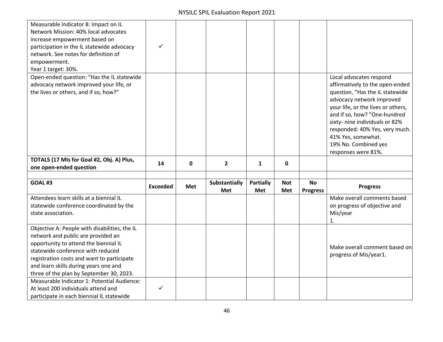| Measurable Indicator 8: Impact on IL<br>Network Mission: 40% local advocates<br>increase empowerment based on<br>participation in the IL statewide advocacy<br>network. See notes for definition of<br>empowerment.<br>Year 1 target: 30%.                                                           | ✓               |            |                             |                  |                   |                              |                                                                                                                                                                       |
|------------------------------------------------------------------------------------------------------------------------------------------------------------------------------------------------------------------------------------------------------------------------------------------------------|-----------------|------------|-----------------------------|------------------|-------------------|------------------------------|-----------------------------------------------------------------------------------------------------------------------------------------------------------------------|
| Open-ended question: "Has the IL statewide<br>advocacy network improved your life, or<br>the lives or others, and if so, how?"                                                                                                                                                                       |                 |            |                             |                  |                   |                              | Local advocates respond<br>affirmatively to the open-ended<br>question, "Has the IL statewide<br>advocacy network improved<br>your life, or the lives or others,      |
|                                                                                                                                                                                                                                                                                                      |                 |            |                             |                  |                   |                              | and if so, how? "One-hundred<br>sixty- nine individuals or 82%<br>responded: 40% Yes, very much.<br>41% Yes, somewhat.<br>19% No. Combined yes<br>responses were 81%. |
| TOTALS (17 MIs for Goal #2, Obj. A) Plus,<br>one open-ended question                                                                                                                                                                                                                                 | 14              | 0          | $\overline{2}$              | 1                | 0                 |                              |                                                                                                                                                                       |
|                                                                                                                                                                                                                                                                                                      |                 |            |                             |                  |                   |                              |                                                                                                                                                                       |
| <b>GOAL #3</b>                                                                                                                                                                                                                                                                                       | <b>Exceeded</b> | <b>Met</b> | Substantially<br><b>Met</b> | Partially<br>Met | <b>Not</b><br>Met | <b>No</b><br><b>Progress</b> | <b>Progress</b>                                                                                                                                                       |
| Attendees learn skills at a biennial IL<br>statewide conference coordinated by the<br>state association.                                                                                                                                                                                             |                 |            |                             |                  |                   |                              | Make overall comments based<br>on progress of objective and<br>Mis/year<br>1.                                                                                         |
| Objective A: People with disabilities, the IL<br>network and public are provided an<br>opportunity to attend the biennial IL<br>statewide conference with reduced<br>registration costs and want to participate<br>and learn skills during years one and<br>three of the plan by September 30, 2023. |                 |            |                             |                  |                   |                              | Make overall comment based on<br>progress of Mis/year1.                                                                                                               |
| Measurable Indicator 1: Potential Audience:<br>At least 200 individuals attend and                                                                                                                                                                                                                   | $\checkmark$    |            |                             |                  |                   |                              |                                                                                                                                                                       |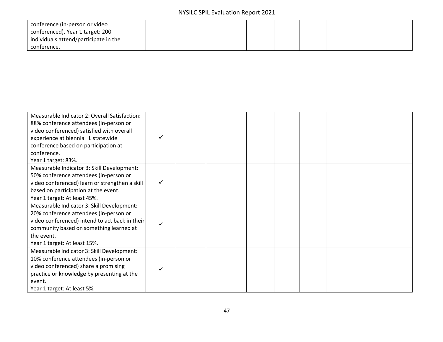| conference (in-person or video        |  |  |  |  |
|---------------------------------------|--|--|--|--|
| conferenced). Year 1 target: 200      |  |  |  |  |
| individuals attend/participate in the |  |  |  |  |
| conference.                           |  |  |  |  |

| Measurable Indicator 2: Overall Satisfaction:  |   |  |  |  |
|------------------------------------------------|---|--|--|--|
| 88% conference attendees (in-person or         |   |  |  |  |
| video conferenced) satisfied with overall      |   |  |  |  |
| experience at biennial IL statewide            |   |  |  |  |
| conference based on participation at           |   |  |  |  |
| conference.                                    |   |  |  |  |
| Year 1 target: 83%.                            |   |  |  |  |
| Measurable Indicator 3: Skill Development:     |   |  |  |  |
| 50% conference attendees (in-person or         |   |  |  |  |
| video conferenced) learn or strengthen a skill | ✓ |  |  |  |
| based on participation at the event.           |   |  |  |  |
| Year 1 target: At least 45%.                   |   |  |  |  |
| Measurable Indicator 3: Skill Development:     |   |  |  |  |
| 20% conference attendees (in-person or         |   |  |  |  |
| video conferenced) intend to act back in their |   |  |  |  |
| community based on something learned at        |   |  |  |  |
| the event.                                     |   |  |  |  |
| Year 1 target: At least 15%.                   |   |  |  |  |
| Measurable Indicator 3: Skill Development:     |   |  |  |  |
| 10% conference attendees (in-person or         |   |  |  |  |
| video conferenced) share a promising           |   |  |  |  |
| practice or knowledge by presenting at the     |   |  |  |  |
| event.                                         |   |  |  |  |
| Year 1 target: At least 5%.                    |   |  |  |  |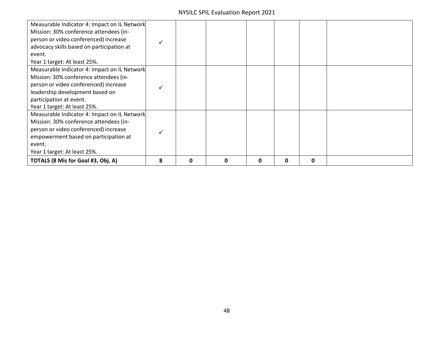| Measurable Indicator 4: Impact on IL Network<br>Mission: 30% conference attendees (in-<br>person or video conferenced) increase<br>advocacy skills based on participation at<br>event.<br>Year 1 target: At least 25%.        |   |   |   |   |   |   |  |
|-------------------------------------------------------------------------------------------------------------------------------------------------------------------------------------------------------------------------------|---|---|---|---|---|---|--|
| Measurable Indicator 4: Impact on IL Network<br>Mission: 30% conference attendees (in-<br>person or video conferenced) increase<br>leadership development based on<br>participation at event.<br>Year 1 target: At least 25%. |   |   |   |   |   |   |  |
| Measurable Indicator 4: Impact on IL Network<br>Mission: 30% conference attendees (in-<br>person or video conferenced) increase<br>empowerment based on participation at<br>event.<br>Year 1 target: At least 25%.            |   |   |   |   |   |   |  |
| TOTALS (8 Mis for Goal #3, Obj. A)                                                                                                                                                                                            | 8 | 0 | 0 | 0 | 0 | 0 |  |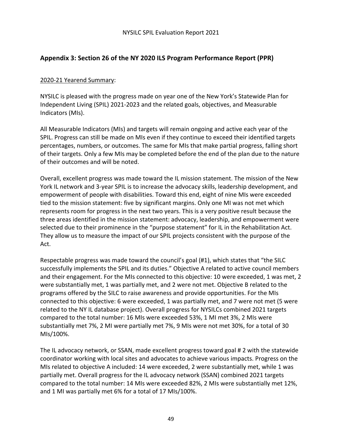# **Appendix 3: Section 26 of the NY 2020 ILS Program Performance Report (PPR)**

### 2020-21 Yearend Summary:

NYSILC is pleased with the progress made on year one of the New York's Statewide Plan for Independent Living (SPIL) 2021-2023 and the related goals, objectives, and Measurable Indicators (MIs).

All Measurable Indicators (MIs) and targets will remain ongoing and active each year of the SPIL. Progress can still be made on MIs even if they continue to exceed their identified targets percentages, numbers, or outcomes. The same for MIs that make partial progress, falling short of their targets. Only a few MIs may be completed before the end of the plan due to the nature of their outcomes and will be noted.

Overall, excellent progress was made toward the IL mission statement. The mission of the New York IL network and 3-year SPIL is to increase the advocacy skills, leadership development, and empowerment of people with disabilities. Toward this end, eight of nine MIs were exceeded tied to the mission statement: five by significant margins. Only one MI was not met which represents room for progress in the next two years. This is a very positive result because the three areas identified in the mission statement: advocacy, leadership, and empowerment were selected due to their prominence in the "purpose statement" for IL in the Rehabilitation Act. They allow us to measure the impact of our SPIL projects consistent with the purpose of the Act.

Respectable progress was made toward the council's goal (#1), which states that "the SILC successfully implements the SPIL and its duties." Objective A related to active council members and their engagement. For the MIs connected to this objective: 10 were exceeded, 1 was met, 2 were substantially met, 1 was partially met, and 2 were not met. Objective B related to the programs offered by the SILC to raise awareness and provide opportunities. For the MIs connected to this objective: 6 were exceeded, 1 was partially met, and 7 were not met (5 were related to the NY IL database project). Overall progress for NYSILCs combined 2021 targets compared to the total number: 16 MIs were exceeded 53%, 1 MI met 3%, 2 MIs were substantially met 7%, 2 MI were partially met 7%, 9 MIs were not met 30%, for a total of 30 MIs/100%.

The IL advocacy network, or SSAN, made excellent progress toward goal # 2 with the statewide coordinator working with local sites and advocates to achieve various impacts. Progress on the MIs related to objective A included: 14 were exceeded, 2 were substantially met, while 1 was partially met. Overall progress for the IL advocacy network (SSAN) combined 2021 targets compared to the total number: 14 MIs were exceeded 82%, 2 MIs were substantially met 12%, and 1 MI was partially met 6% for a total of 17 MIs/100%.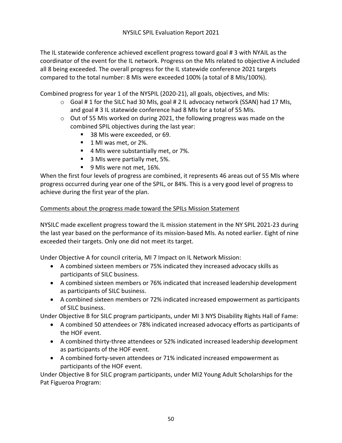The IL statewide conference achieved excellent progress toward goal # 3 with NYAIL as the coordinator of the event for the IL network. Progress on the MIs related to objective A included all 8 being exceeded. The overall progress for the IL statewide conference 2021 targets compared to the total number: 8 MIs were exceeded 100% (a total of 8 MIs/100%).

Combined progress for year 1 of the NYSPIL (2020-21), all goals, objectives, and MIs:

- $\circ$  Goal # 1 for the SILC had 30 MIs, goal # 2 IL advocacy network (SSAN) had 17 MIs, and goal # 3 IL statewide conference had 8 MIs for a total of 55 MIs.
- o Out of 55 MIs worked on during 2021, the following progress was made on the combined SPIL objectives during the last year:
	- § 38 MIs were exceeded, or 69.
	- 1 MI was met, or 2%.
	- 4 MIs were substantially met, or 7%.
	- 3 MIs were partially met, 5%.
	- 9 MIs were not met, 16%.

When the first four levels of progress are combined, it represents 46 areas out of 55 MIs where progress occurred during year one of the SPIL, or 84%. This is a very good level of progress to achieve during the first year of the plan.

#### Comments about the progress made toward the SPILs Mission Statement

NYSILC made excellent progress toward the IL mission statement in the NY SPIL 2021-23 during the last year based on the performance of its mission-based MIs. As noted earlier. Eight of nine exceeded their targets. Only one did not meet its target.

Under Objective A for council criteria, MI 7 Impact on IL Network Mission:

- A combined sixteen members or 75% indicated they increased advocacy skills as participants of SILC business.
- A combined sixteen members or 76% indicated that increased leadership development as participants of SILC business.
- A combined sixteen members or 72% indicated increased empowerment as participants of SILC business.

Under Objective B for SILC program participants, under MI 3 NYS Disability Rights Hall of Fame:

- A combined 50 attendees or 78% indicated increased advocacy efforts as participants of the HOF event.
- A combined thirty-three attendees or 52% indicated increased leadership development as participants of the HOF event.
- A combined forty-seven attendees or 71% indicated increased empowerment as participants of the HOF event.

Under Objective B for SILC program participants, under MI2 Young Adult Scholarships for the Pat Figueroa Program: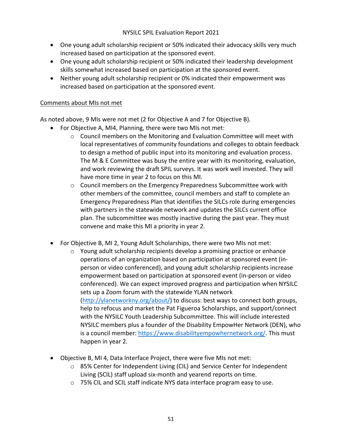- One young adult scholarship recipient or 50% indicated their advocacy skills very much increased based on participation at the sponsored event.
- One young adult scholarship recipient or 50% indicated their leadership development skills somewhat increased based on participation at the sponsored event.
- Neither young adult scholarship recipient or 0% indicated their empowerment was increased based on participation at the sponsored event.

#### Comments about MIs not met

As noted above, 9 MIs were not met (2 for Objective A and 7 for Objective B).

- For Objective A, MI4, Planning, there were two MIs not met:
	- $\circ$  Council members on the Monitoring and Evaluation Committee will meet with local representatives of community foundations and colleges to obtain feedback to design a method of public input into its monitoring and evaluation process. The M & E Committee was busy the entire year with its monitoring, evaluation, and work reviewing the draft SPIL surveys. It was work well invested. They will have more time in year 2 to focus on this MI.
	- $\circ$  Council members on the Emergency Preparedness Subcommittee work with other members of the committee, council members and staff to complete an Emergency Preparedness Plan that identifies the SILCs role during emergencies with partners in the statewide network and updates the SILCs current office plan. The subcommittee was mostly inactive during the past year. They must convene and make this MI a priority in year 2.
- For Objective B, MI 2, Young Adult Scholarships, there were two MIs not met:
	- $\circ$  Young adult scholarship recipients develop a promising practice or enhance operations of an organization based on participation at sponsored event (inperson or video conferenced), and young adult scholarship recipients increase empowerment based on participation at sponsored event (in-person or video conferenced). We can expect improved progress and participation when NYSILC sets up a Zoom forum with the statewide YLAN network (http://ylanetworkny.org/about/) to discuss: best ways to connect both groups, help to refocus and market the Pat Figueroa Scholarships, and support/connect with the NYSILC Youth Leadership Subcommittee. This will include interested NYSILC members plus a founder of the Disability EmpowHer Network (DEN), who is a council member: https://www.disabilityempowhernetwork.org/. This must happen in year 2.
- Objective B, MI 4, Data Interface Project, there were five MIs not met:
	- o 85% Center for Independent Living (CIL) and Service Center for Independent Living (SCIL) staff upload six-month and yearend reports on time.
	- o 75% CIL and SCIL staff indicate NYS data interface program easy to use.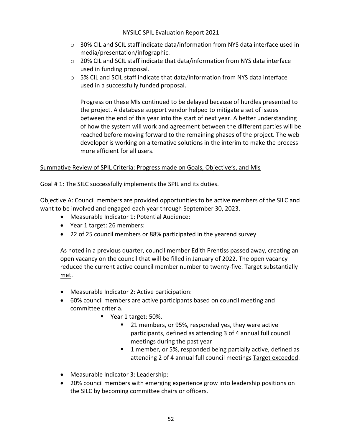- $\circ$  30% CIL and SCIL staff indicate data/information from NYS data interface used in media/presentation/infographic.
- $\circ$  20% CIL and SCIL staff indicate that data/information from NYS data interface used in funding proposal.
- $\circ$  5% CIL and SCIL staff indicate that data/information from NYS data interface used in a successfully funded proposal.

Progress on these MIs continued to be delayed because of hurdles presented to the project. A database support vendor helped to mitigate a set of issues between the end of this year into the start of next year. A better understanding of how the system will work and agreement between the different parties will be reached before moving forward to the remaining phases of the project. The web developer is working on alternative solutions in the interim to make the process more efficient for all users.

## Summative Review of SPIL Criteria: Progress made on Goals, Objective's, and MIs

Goal # 1: The SILC successfully implements the SPIL and its duties.

Objective A: Council members are provided opportunities to be active members of the SILC and want to be involved and engaged each year through September 30, 2023.

- Measurable Indicator 1: Potential Audience:
- Year 1 target: 26 members:
- 22 of 25 council members or 88% participated in the yearend survey

As noted in a previous quarter, council member Edith Prentiss passed away, creating an open vacancy on the council that will be filled in January of 2022. The open vacancy reduced the current active council member number to twenty-five. Target substantially met.

- Measurable Indicator 2: Active participation:
- 60% council members are active participants based on council meeting and committee criteria.
	- Year 1 target: 50%.
		- § 21 members, or 95%, responded yes, they were active participants, defined as attending 3 of 4 annual full council meetings during the past year
		- 1 member, or 5%, responded being partially active, defined as attending 2 of 4 annual full council meetings Target exceeded.
- Measurable Indicator 3: Leadership:
- 20% council members with emerging experience grow into leadership positions on the SILC by becoming committee chairs or officers.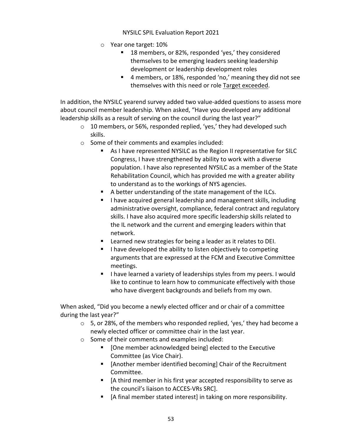- o Year one target: 10%
	- 18 members, or 82%, responded 'yes,' they considered themselves to be emerging leaders seeking leadership development or leadership development roles
	- 4 members, or 18%, responded 'no,' meaning they did not see themselves with this need or role Target exceeded.

In addition, the NYSILC yearend survey added two value-added questions to assess more about council member leadership. When asked, "Have you developed any additional leadership skills as a result of serving on the council during the last year?"

- o 10 members, or 56%, responded replied, 'yes,' they had developed such skills.
- o Some of their comments and examples included:
	- As I have represented NYSILC as the Region II representative for SILC Congress, I have strengthened by ability to work with a diverse population. I have also represented NYSILC as a member of the State Rehabilitation Council, which has provided me with a greater ability to understand as to the workings of NYS agencies.
	- A better understanding of the state management of the ILCs.
	- I have acquired general leadership and management skills, including administrative oversight, compliance, federal contract and regulatory skills. I have also acquired more specific leadership skills related to the IL network and the current and emerging leaders within that network.
	- Learned new strategies for being a leader as it relates to DEI.
	- **I have developed the ability to listen objectively to competing** arguments that are expressed at the FCM and Executive Committee meetings.
	- I have learned a variety of leaderships styles from my peers. I would like to continue to learn how to communicate effectively with those who have divergent backgrounds and beliefs from my own.

When asked, "Did you become a newly elected officer and or chair of a committee during the last year?"

- o 5, or 28%, of the members who responded replied, 'yes,' they had become a newly elected officer or committee chair in the last year.
- o Some of their comments and examples included:
	- [One member acknowledged being] elected to the Executive Committee (as Vice Chair).
	- [Another member identified becoming] Chair of the Recruitment Committee.
	- [A third member in his first year accepted responsibility to serve as the council's liaison to ACCES-VRs SRC].
	- [A final member stated interest] in taking on more responsibility.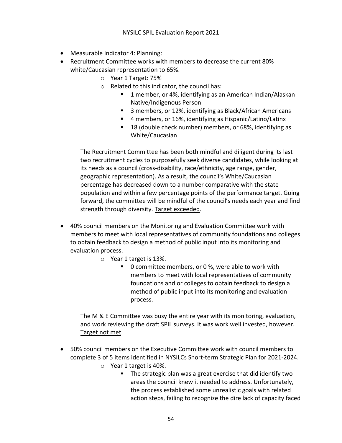- Measurable Indicator 4: Planning:
- Recruitment Committee works with members to decrease the current 80% white/Caucasian representation to 65%.
	- o Year 1 Target: 75%
	- o Related to this indicator, the council has:
		- § 1 member, or 4%, identifying as an American Indian/Alaskan Native/Indigenous Person
		- 3 members, or 12%, identifying as Black/African Americans
		- 4 members, or 16%, identifying as Hispanic/Latino/Latinx
		- 18 (double check number) members, or 68%, identifying as White/Caucasian

The Recruitment Committee has been both mindful and diligent during its last two recruitment cycles to purposefully seek diverse candidates, while looking at its needs as a council (cross-disability, race/ethnicity, age range, gender, geographic representation). As a result, the council's White/Caucasian percentage has decreased down to a number comparative with the state population and within a few percentage points of the performance target. Going forward, the committee will be mindful of the council's needs each year and find strength through diversity. Target exceeded.

- 40% council members on the Monitoring and Evaluation Committee work with members to meet with local representatives of community foundations and colleges to obtain feedback to design a method of public input into its monitoring and evaluation process.
	- o Year 1 target is 13%.
		- 0 committee members, or 0 %, were able to work with members to meet with local representatives of community foundations and or colleges to obtain feedback to design a method of public input into its monitoring and evaluation process.

The M & E Committee was busy the entire year with its monitoring, evaluation, and work reviewing the draft SPIL surveys. It was work well invested, however. Target not met.

- 50% council members on the Executive Committee work with council members to complete 3 of 5 items identified in NYSILCs Short-term Strategic Plan for 2021-2024.
	- o Year 1 target is 40%.
		- The strategic plan was a great exercise that did identify two areas the council knew it needed to address. Unfortunately, the process established some unrealistic goals with related action steps, failing to recognize the dire lack of capacity faced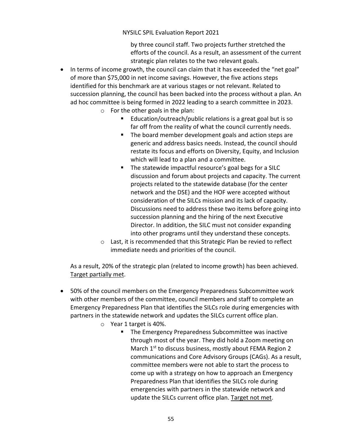by three council staff. Two projects further stretched the efforts of the council. As a result, an assessment of the current strategic plan relates to the two relevant goals.

- In terms of income growth, the council can claim that it has exceeded the "net goal" of more than \$75,000 in net income savings. However, the five actions steps identified for this benchmark are at various stages or not relevant. Related to succession planning, the council has been backed into the process without a plan. An ad hoc committee is being formed in 2022 leading to a search committee in 2023.
	- o For the other goals in the plan:
		- Education/outreach/public relations is a great goal but is so far off from the reality of what the council currently needs.
		- The board member development goals and action steps are generic and address basics needs. Instead, the council should restate its focus and efforts on Diversity, Equity, and Inclusion which will lead to a plan and a committee.
		- The statewide impactful resource's goal begs for a SILC discussion and forum about projects and capacity. The current projects related to the statewide database (for the center network and the DSE) and the HOF were accepted without consideration of the SILCs mission and its lack of capacity. Discussions need to address these two items before going into succession planning and the hiring of the next Executive Director. In addition, the SILC must not consider expanding into other programs until they understand these concepts.
	- o Last, it is recommended that this Strategic Plan be revied to reflect immediate needs and priorities of the council.

As a result, 20% of the strategic plan (related to income growth) has been achieved. Target partially met.

- 50% of the council members on the Emergency Preparedness Subcommittee work with other members of the committee, council members and staff to complete an Emergency Preparedness Plan that identifies the SILCs role during emergencies with partners in the statewide network and updates the SILCs current office plan.
	- o Year 1 target is 40%.
		- The Emergency Preparedness Subcommittee was inactive through most of the year. They did hold a Zoom meeting on March 1<sup>st</sup> to discuss business, mostly about FEMA Region 2 communications and Core Advisory Groups (CAGs). As a result, committee members were not able to start the process to come up with a strategy on how to approach an Emergency Preparedness Plan that identifies the SILCs role during emergencies with partners in the statewide network and update the SILCs current office plan. Target not met.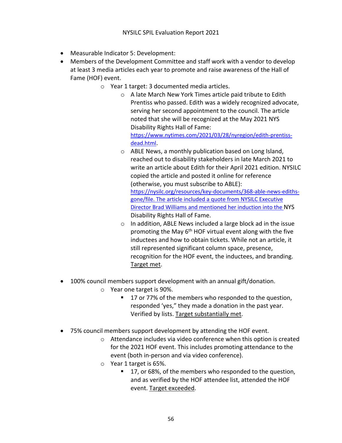- Measurable Indicator 5: Development:
- Members of the Development Committee and staff work with a vendor to develop at least 3 media articles each year to promote and raise awareness of the Hall of Fame (HOF) event.
	- o Year 1 target: 3 documented media articles.
		- o A late March New York Times article paid tribute to Edith Prentiss who passed. Edith was a widely recognized advocate, serving her second appointment to the council. The article noted that she will be recognized at the May 2021 NYS Disability Rights Hall of Fame: https://www.nytimes.com/2021/03/28/nyregion/edith-prentissdead.html.
		- o ABLE News, a monthly publication based on Long Island, reached out to disability stakeholders in late March 2021 to write an article about Edith for their April 2021 edition. NYSILC copied the article and posted it online for reference (otherwise, you must subscribe to ABLE): https://nysilc.org/resources/key-documents/368-able-news-edithsgone/file. The article included a quote from NYSILC Executive Director Brad Williams and mentioned her induction into the NYS Disability Rights Hall of Fame.
		- o In addition, ABLE News included a large block ad in the issue promoting the May 6<sup>th</sup> HOF virtual event along with the five inductees and how to obtain tickets. While not an article, it still represented significant column space, presence, recognition for the HOF event, the inductees, and branding. Target met.
- 100% council members support development with an annual gift/donation.
	- o Year one target is 90%.
		- 17 or 77% of the members who responded to the question, responded 'yes," they made a donation in the past year. Verified by lists. Target substantially met.
- 75% council members support development by attending the HOF event.
	- o Attendance includes via video conference when this option is created for the 2021 HOF event. This includes promoting attendance to the event (both in-person and via video conference).
	- o Year 1 target is 65%.
		- § 17, or 68%, of the members who responded to the question, and as verified by the HOF attendee list, attended the HOF event. Target exceeded.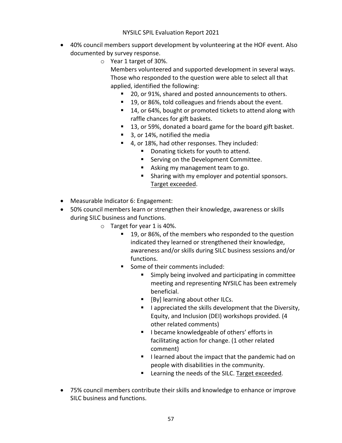- 40% council members support development by volunteering at the HOF event. Also documented by survey response.
	- o Year 1 target of 30%.

Members volunteered and supported development in several ways. Those who responded to the question were able to select all that applied, identified the following:

- § 20, or 91%, shared and posted announcements to others.
- § 19, or 86%, told colleagues and friends about the event.
- 14, or 64%, bought or promoted tickets to attend along with raffle chances for gift baskets.
- 13, or 59%, donated a board game for the board gift basket.
- 3, or 14%, notified the media
- § 4, or 18%, had other responses. They included:
	- Donating tickets for youth to attend.
	- Serving on the Development Committee.
	- Asking my management team to go.
	- Sharing with my employer and potential sponsors. Target exceeded.
- Measurable Indicator 6: Engagement:
- 50% council members learn or strengthen their knowledge, awareness or skills during SILC business and functions.
	- o Target for year 1 is 40%.
		- 19, or 86%, of the members who responded to the question indicated they learned or strengthened their knowledge, awareness and/or skills during SILC business sessions and/or functions.
		- § Some of their comments included:
			- § Simply being involved and participating in committee meeting and representing NYSILC has been extremely beneficial.
			- [By] learning about other ILCs.
			- I appreciated the skills development that the Diversity, Equity, and Inclusion (DEI) workshops provided. (4 other related comments)
			- I became knowledgeable of others' efforts in facilitating action for change. (1 other related comment)
			- I learned about the impact that the pandemic had on people with disabilities in the community.
			- Learning the needs of the SILC. Target exceeded.
- 75% council members contribute their skills and knowledge to enhance or improve SILC business and functions.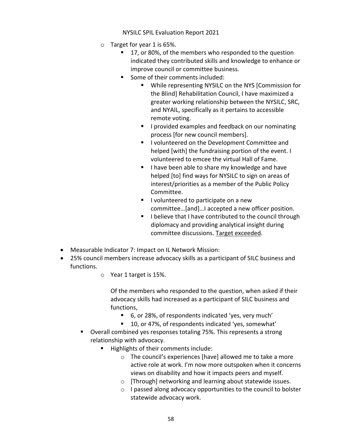- o Target for year 1 is 65%.
	- § 17, or 80%, of the members who responded to the question indicated they contributed skills and knowledge to enhance or improve council or committee business.
	- Some of their comments included:
		- While representing NYSILC on the NYS [Commission for the Blind] Rehabilitation Council, I have maximized a greater working relationship between the NYSILC, SRC, and NYAIL, specifically as it pertains to accessible remote voting.
		- I provided examples and feedback on our nominating process [for new council members].
		- I volunteered on the Development Committee and helped [with] the fundraising portion of the event. I volunteered to emcee the virtual Hall of Fame.
		- I have been able to share my knowledge and have helped [to] find ways for NYSILC to sign on areas of interest/priorities as a member of the Public Policy Committee.
		- I volunteered to participate on a new committee…[and]…I accepted a new officer position.
		- I believe that I have contributed to the council through diplomacy and providing analytical insight during committee discussions. Target exceeded.
- Measurable Indicator 7: Impact on IL Network Mission:
- 25% council members increase advocacy skills as a participant of SILC business and functions.
	- o Year 1 target is 15%.

Of the members who responded to the question, when asked if their advocacy skills had increased as a participant of SILC business and functions,

- 6, or 28%, of respondents indicated 'yes, very much'
- § 10, or 47%, of respondents indicated 'yes, somewhat'
- Overall combined yes responses totaling 75%. This represents a strong relationship with advocacy.
	- Highlights of their comments include:
		- o The council's experiences [have] allowed me to take a more active role at work. I'm now more outspoken when it concerns views on disability and how it impacts peers and myself.
		- o [Through] networking and learning about statewide issues.
		- o I passed along advocacy opportunities to the council to bolster statewide advocacy work.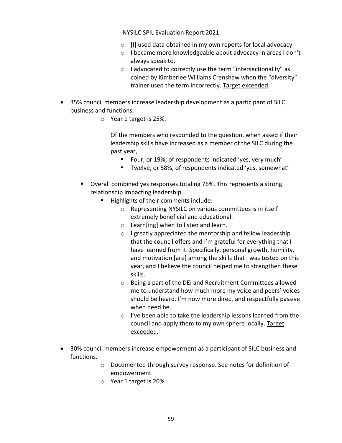- o [I] used data obtained in my own reports for local advocacy.
- o I became more knowledgeable about advocacy in areas I don't always speak to.
- o I advocated to correctly use the term "intersectionality" as coined by Kimberlee Williams Crenshaw when the "diversity" trainer used the term incorrectly. Target exceeded.
- 35% council members increase leadership development as a participant of SILC business and functions.
	- o Year 1 target is 25%.

Of the members who responded to the question, when asked if their leadership skills have increased as a member of the SILC during the past year,

- Four, or 19%, of respondents indicated 'yes, very much'
- Twelve, or 58%, of respondents indicated 'yes, somewhat'
- Overall combined yes responses totaling 76%. This represents a strong relationship impacting leadership.
	- Highlights of their comments include:
		- o Representing NYSILC on various committees is in itself extremely beneficial and educational.
		- o Learn[ing] when to listen and learn.
		- o I greatly appreciated the mentorship and fellow leadership that the council offers and I'm grateful for everything that I have learned from it. Specifically, personal growth, humility, and motivation [are] among the skills that I was tested on this year, and I believe the council helped me to strengthen these skills.
		- o Being a part of the DEI and Recruitment Committees allowed me to understand how much more my voice and peers' voices should be heard. I'm now more direct and respectfully passive when need be.
		- o I've been able to take the leadership lessons learned from the council and apply them to my own sphere locally. Target exceeded.
- 30% council members increase empowerment as a participant of SILC business and functions.
	- o Documented through survey response. See notes for definition of empowerment.
	- o Year 1 target is 20%.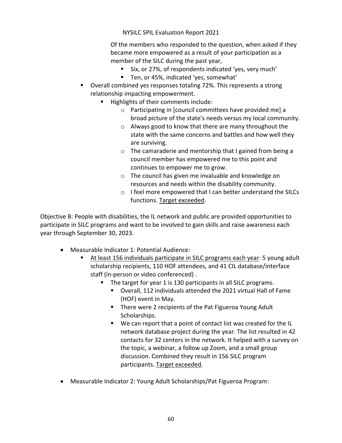Of the members who responded to the question, when asked if they became more empowered as a result of your participation as a member of the SILC during the past year,

- Six, or 27%, of respondents indicated 'yes, very much'
- Ten, or 45%, indicated 'yes, somewhat'
- § Overall combined yes responses totaling 72%. This represents a strong relationship impacting empowerment.
	- Highlights of their comments include:
		- o Participating in [council committees have provided me] a broad picture of the state's needs versus my local community.
		- o Always good to know that there are many throughout the state with the same concerns and battles and how well they are surviving.
		- o The camaraderie and mentorship that I gained from being a council member has empowered me to this point and continues to empower me to grow.
		- o The council has given me invaluable and knowledge on resources and needs within the disability community.
		- o I feel more empowered that I can better understand the SILCs functions. Target exceeded.

Objective B: People with disabilities, the IL network and public are provided opportunities to participate in SILC programs and want to be involved to gain skills and raise awareness each year through September 30, 2023.

- Measurable Indicator 1: Potential Audience:
	- § At least 156 individuals participate in SILC programs each year: 5 young adult scholarship recipients, 110 HOF attendees, and 41 CIL database/interface staff (in-person or video conferenced) .
		- The target for year 1 is 130 participants in all SILC programs.
			- Overall, 112 individuals attended the 2021 virtual Hall of Fame (HOF) event in May.
			- There were 2 recipients of the Pat Figueroa Young Adult Scholarships.
			- We can report that a point of contact list was created for the IL network database project during the year. The list resulted in 42 contacts for 32 centers in the network. It helped with a survey on the topic, a webinar, a follow up Zoom, and a small group discussion. Combined they result in 156 SILC program participants. Target exceeded.
- Measurable Indicator 2: Young Adult Scholarships/Pat Figueroa Program: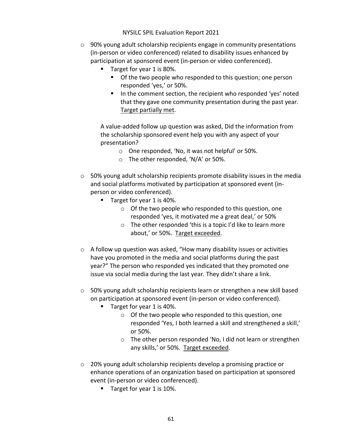- $\circ$  90% young adult scholarship recipients engage in community presentations (in-person or video conferenced) related to disability issues enhanced by participation at sponsored event (in-person or video conferenced).
	- Target for year 1 is 80%.
		- Of the two people who responded to this question; one person responded 'yes,' or 50%.
		- In the comment section, the recipient who responded 'yes' noted that they gave one community presentation during the past year. Target partially met.

A value-added follow up question was asked, Did the information from the scholarship sponsored event help you with any aspect of your presentation?

- o One responded, 'No, it was not helpful' or 50%.
- o The other responded, 'N/A' or 50%.
- $\circ$  50% young adult scholarship recipients promote disability issues in the media and social platforms motivated by participation at sponsored event (inperson or video conferenced).
	- Target for year 1 is 40%.
		- o Of the two people who responded to this question, one responded 'yes, it motivated me a great deal,' or 50%
		- o The other responded 'this is a topic I'd like to learn more about,' or 50%. Target exceeded.
- o A follow up question was asked, "How many disability issues or activities have you promoted in the media and social platforms during the past year?" The person who responded yes indicated that they promoted one issue via social media during the last year. They didn't share a link.
- $\circ$  50% young adult scholarship recipients learn or strengthen a new skill based on participation at sponsored event (in-person or video conferenced).
	- Target for year 1 is 40%.
		- o Of the two people who responded to this question, one responded 'Yes, I both learned a skill and strengthened a skill,' or 50%.
		- o The other person responded 'No, I did not learn or strengthen any skills,' or 50%. Target exceeded.
- o 20% young adult scholarship recipients develop a promising practice or enhance operations of an organization based on participation at sponsored event (in-person or video conferenced).
	- Target for year 1 is 10%.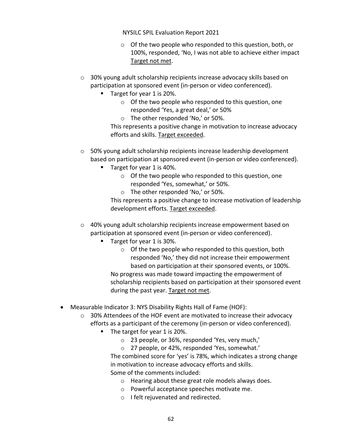- o Of the two people who responded to this question, both, or 100%, responded, 'No, I was not able to achieve either impact Target not met.
- o 30% young adult scholarship recipients increase advocacy skills based on participation at sponsored event (in-person or video conferenced).
	- Target for year 1 is 20%.
		- o Of the two people who responded to this question, one responded 'Yes, a great deal,' or 50%
		- o The other responded 'No,' or 50%.

This represents a positive change in motivation to increase advocacy efforts and skills. Target exceeded.

- o 50% young adult scholarship recipients increase leadership development based on participation at sponsored event (in-person or video conferenced).
	- Target for year 1 is 40%.
		- o Of the two people who responded to this question, one responded 'Yes, somewhat,' or 50%.
		- o The other responded 'No,' or 50%.

This represents a positive change to increase motivation of leadership development efforts. Target exceeded.

- o 40% young adult scholarship recipients increase empowerment based on participation at sponsored event (in-person or video conferenced).
	- Target for year 1 is 30%.
		- o Of the two people who responded to this question, both responded 'No,' they did not increase their empowerment based on participation at their sponsored events, or 100%.

No progress was made toward impacting the empowerment of scholarship recipients based on participation at their sponsored event during the past year. Target not met.

- Measurable Indicator 3: NYS Disability Rights Hall of Fame (HOF):
	- $\circ$  30% Attendees of the HOF event are motivated to increase their advocacy efforts as a participant of the ceremony (in-person or video conferenced).
		- The target for year 1 is 20%.
			- o 23 people, or 36%, responded 'Yes, very much,'
			- o 27 people, or 42%, responded 'Yes, somewhat.'

The combined score for 'yes' is 78%, which indicates a strong change in motivation to increase advocacy efforts and skills. Some of the comments included:

- o Hearing about these great role models always does.
- o Powerful acceptance speeches motivate me.
- o I felt rejuvenated and redirected.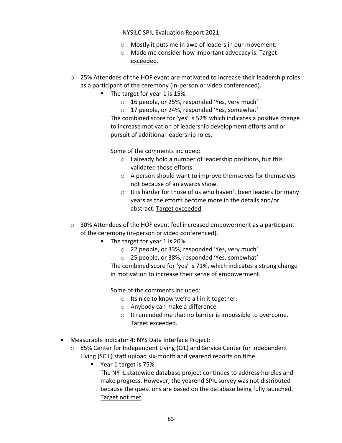- o Mostly it puts me in awe of leaders in our movement.
- o Made me consider how important advocacy is. Target exceeded.
- $\circ$  25% Attendees of the HOF event are motivated to increase their leadership roles as a participant of the ceremony (in-person or video conferenced).
	- The target for year 1 is 15%.
		- o 16 people, or 25%, responded 'Yes, very much'
		- o 17 people, or 24%, responded 'Yes, somewhat'

The combined score for 'yes' is 52% which indicates a positive change to increase motivation of leadership development efforts and or pursuit of additional leadership roles.

Some of the comments included:

- o I already hold a number of leadership positions, but this validated those efforts.
- o A person should want to improve themselves for themselves not because of an awards show.
- o It is harder for those of us who haven't been leaders for many years as the efforts become more in the details and/or abstract. Target exceeded.
- $\circ$  30% Attendees of the HOF event feel increased empowerment as a participant of the ceremony (in-person or video conferenced).
	- § The target for year 1 is 20%.
		- o 22 people, or 33%, responded 'Yes, very much'
		- o 25 people, or 38%, responded 'Yes, somewhat'

The combined score for 'yes' is 71%, which indicates a strong change in motivation to increase their sense of empowerment.

Some of the comments included:

- o Its nice to know we're all in it together.
- o Anybody can make a difference.
- o It reminded me that no barrier is impossible to overcome. Target exceeded.
- Measurable Indicator 4: NYS Data Interface Project:
	- o 85% Center for Independent Living (CIL) and Service Center for Independent Living (SCIL) staff upload six-month and yearend reports on time.
		- Year 1 target is 75%.

The NY IL statewide database project continues to address hurdles and make progress. However, the yearend SPIL survey was not distributed because the questions are based on the database being fully launched. Target not met.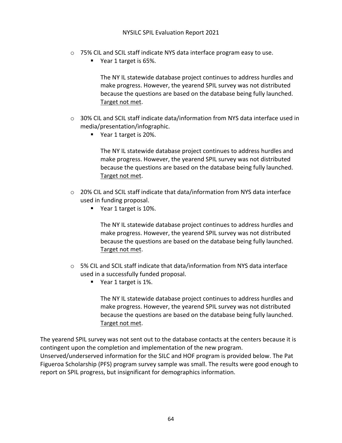- o 75% CIL and SCIL staff indicate NYS data interface program easy to use.
	- Year 1 target is 65%.

The NY IL statewide database project continues to address hurdles and make progress. However, the yearend SPIL survey was not distributed because the questions are based on the database being fully launched. Target not met.

- $\circ$  30% CIL and SCIL staff indicate data/information from NYS data interface used in media/presentation/infographic.
	- Year 1 target is 20%.

The NY IL statewide database project continues to address hurdles and make progress. However, the yearend SPIL survey was not distributed because the questions are based on the database being fully launched. Target not met.

- o 20% CIL and SCIL staff indicate that data/information from NYS data interface used in funding proposal.
	- Year 1 target is 10%.

The NY IL statewide database project continues to address hurdles and make progress. However, the yearend SPIL survey was not distributed because the questions are based on the database being fully launched. Target not met.

- $\circ$  5% CIL and SCIL staff indicate that data/information from NYS data interface used in a successfully funded proposal.
	- Year 1 target is 1%.

The NY IL statewide database project continues to address hurdles and make progress. However, the yearend SPIL survey was not distributed because the questions are based on the database being fully launched. Target not met.

The yearend SPIL survey was not sent out to the database contacts at the centers because it is contingent upon the completion and implementation of the new program.

Unserved/underserved information for the SILC and HOF program is provided below. The Pat Figueroa Scholarship (PFS) program survey sample was small. The results were good enough to report on SPIL progress, but insignificant for demographics information.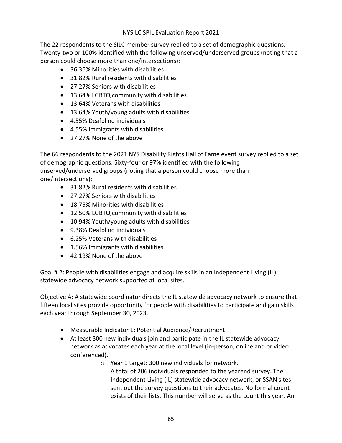The 22 respondents to the SILC member survey replied to a set of demographic questions. Twenty-two or 100% identified with the following unserved/underserved groups (noting that a person could choose more than one/intersections):

- 36.36% Minorities with disabilities
- 31.82% Rural residents with disabilities
- 27.27% Seniors with disabilities
- 13.64% LGBTQ community with disabilities
- 13.64% Veterans with disabilities
- 13.64% Youth/young adults with disabilities
- 4.55% Deafblind individuals
- 4.55% Immigrants with disabilities
- 27.27% None of the above

The 66 respondents to the 2021 NYS Disability Rights Hall of Fame event survey replied to a set of demographic questions. Sixty-four or 97% identified with the following unserved/underserved groups (noting that a person could choose more than one/intersections):

- 31.82% Rural residents with disabilities
- 27.27% Seniors with disabilities
- 18.75% Minorities with disabilities
- 12.50% LGBTQ community with disabilities
- 10.94% Youth/young adults with disabilities
- 9.38% Deafblind individuals
- 6.25% Veterans with disabilities
- 1.56% Immigrants with disabilities
- 42.19% None of the above

Goal # 2: People with disabilities engage and acquire skills in an Independent Living (IL) statewide advocacy network supported at local sites.

Objective A: A statewide coordinator directs the IL statewide advocacy network to ensure that fifteen local sites provide opportunity for people with disabilities to participate and gain skills each year through September 30, 2023.

- Measurable Indicator 1: Potential Audience/Recruitment:
- At least 300 new individuals join and participate in the IL statewide advocacy network as advocates each year at the local level (in-person, online and or video conferenced).
	- o Year 1 target: 300 new individuals for network. A total of 206 individuals responded to the yearend survey. The Independent Living (IL) statewide advocacy network, or SSAN sites, sent out the survey questions to their advocates. No formal count exists of their lists. This number will serve as the count this year. An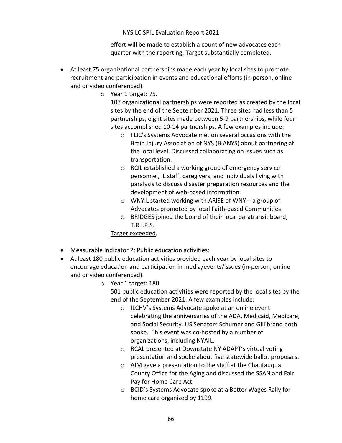effort will be made to establish a count of new advocates each quarter with the reporting. Target substantially completed.

- At least 75 organizational partnerships made each year by local sites to promote recruitment and participation in events and educational efforts (in-person, online and or video conferenced).
	- o Year 1 target: 75.

107 organizational partnerships were reported as created by the local sites by the end of the September 2021. Three sites had less than 5 partnerships, eight sites made between 5-9 partnerships, while four sites accomplished 10-14 partnerships. A few examples include:

- o FLIC's Systems Advocate met on several occasions with the Brain Injury Association of NYS (BIANYS) about partnering at the local level. Discussed collaborating on issues such as transportation.
- o RCIL established a working group of emergency service personnel, IL staff, caregivers, and individuals living with paralysis to discuss disaster preparation resources and the development of web-based information.
- o WNYIL started working with ARISE of WNY a group of Advocates promoted by local Faith-based Communities.
- o BRIDGES joined the board of their local paratransit board, T.R.I.P.S.

Target exceeded.

- Measurable Indicator 2: Public education activities:
- At least 180 public education activities provided each year by local sites to encourage education and participation in media/events/issues (in-person, online and or video conferenced).
	- o Year 1 target: 180.

501 public education activities were reported by the local sites by the end of the September 2021. A few examples include:

- o ILCHV's Systems Advocate spoke at an online event celebrating the anniversaries of the ADA, Medicaid, Medicare, and Social Security. US Senators Schumer and Gillibrand both spoke. This event was co-hosted by a number of organizations, including NYAIL.
- o RCAL presented at Downstate NY ADAPT's virtual voting presentation and spoke about five statewide ballot proposals.
- o AIM gave a presentation to the staff at the Chautauqua County Office for the Aging and discussed the SSAN and Fair Pay for Home Care Act.
- o BCID's Systems Advocate spoke at a Better Wages Rally for home care organized by 1199.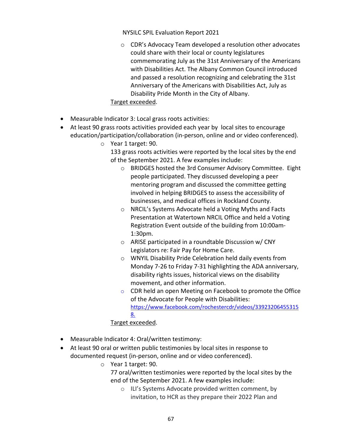o CDR's Advocacy Team developed a resolution other advocates could share with their local or county legislatures commemorating July as the 31st Anniversary of the Americans with Disabilities Act. The Albany Common Council introduced and passed a resolution recognizing and celebrating the 31st Anniversary of the Americans with Disabilities Act, July as Disability Pride Month in the City of Albany.

### Target exceeded.

- Measurable Indicator 3: Local grass roots activities:
- At least 90 grass roots activities provided each year by local sites to encourage education/participation/collaboration (in-person, online and or video conferenced).
	- o Year 1 target: 90.
		- 133 grass roots activities were reported by the local sites by the end of the September 2021. A few examples include:
			- o BRIDGES hosted the 3rd Consumer Advisory Committee. Eight people participated. They discussed developing a peer mentoring program and discussed the committee getting involved in helping BRIDGES to assess the accessibility of businesses, and medical offices in Rockland County.
			- o NRCIL's Systems Advocate held a Voting Myths and Facts Presentation at Watertown NRCIL Office and held a Voting Registration Event outside of the building from 10:00am-1:30pm.
			- o ARISE participated in a roundtable Discussion w/ CNY Legislators re: Fair Pay for Home Care.
			- o WNYIL Disability Pride Celebration held daily events from Monday 7-26 to Friday 7-31 highlighting the ADA anniversary, disability rights issues, historical views on the disability movement, and other information.
			- o CDR held an open Meeting on Facebook to promote the Office of the Advocate for People with Disabilities: https://www.facebook.com/rochestercdr/videos/33923206455315 8.

## Target exceeded.

- Measurable Indicator 4: Oral/written testimony:
- At least 90 oral or written public testimonies by local sites in response to documented request (in-person, online and or video conferenced).
	- o Year 1 target: 90.

77 oral/written testimonies were reported by the local sites by the end of the September 2021. A few examples include:

o ILI's Systems Advocate provided written comment, by invitation, to HCR as they prepare their 2022 Plan and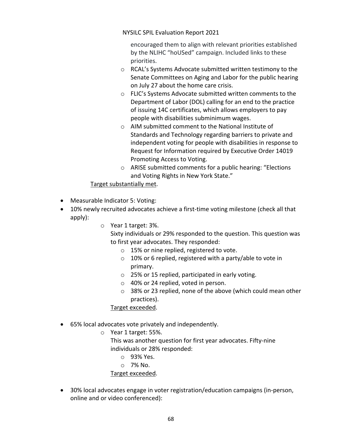encouraged them to align with relevant priorities established by the NLIHC "hoUSed" campaign. Included links to these priorities.

- o RCAL's Systems Advocate submitted written testimony to the Senate Committees on Aging and Labor for the public hearing on July 27 about the home care crisis.
- o FLIC's Systems Advocate submitted written comments to the Department of Labor (DOL) calling for an end to the practice of issuing 14C certificates, which allows employers to pay people with disabilities subminimum wages.
- o AIM submitted comment to the National Institute of Standards and Technology regarding barriers to private and independent voting for people with disabilities in response to Request for Information required by Executive Order 14019 Promoting Access to Voting.
- o ARISE submitted comments for a public hearing: "Elections and Voting Rights in New York State."

# Target substantially met.

- Measurable Indicator 5: Voting:
- 10% newly recruited advocates achieve a first-time voting milestone (check all that apply):
	- o Year 1 target: 3%.

Sixty individuals or 29% responded to the question. This question was to first year advocates. They responded:

- o 15% or nine replied, registered to vote.
- o 10% or 6 replied, registered with a party/able to vote in primary.
- o 25% or 15 replied, participated in early voting.
- o 40% or 24 replied, voted in person.
- o 38% or 23 replied, none of the above (which could mean other practices).

Target exceeded.

- 65% local advocates vote privately and independently.
	- o Year 1 target: 55%.
		- This was another question for first year advocates. Fifty-nine individuals or 28% responded:
			- o 93% Yes.
			- o 7% No.

Target exceeded.

• 30% local advocates engage in voter registration/education campaigns (in-person, online and or video conferenced):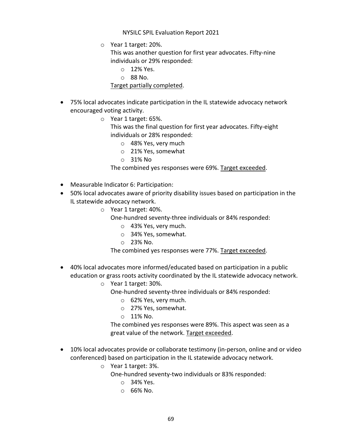o Year 1 target: 20%.

This was another question for first year advocates. Fifty-nine individuals or 29% responded:

- o 12% Yes.
- o 88 No.

## Target partially completed.

- 75% local advocates indicate participation in the IL statewide advocacy network encouraged voting activity.
	- o Year 1 target: 65%.

This was the final question for first year advocates. Fifty-eight individuals or 28% responded:

- o 48% Yes, very much
- o 21% Yes, somewhat
- o 31% No

The combined yes responses were 69%. Target exceeded.

- Measurable Indicator 6: Participation:
- 50% local advocates aware of priority disability issues based on participation in the IL statewide advocacy network.
	- o Year 1 target: 40%.
		- One-hundred seventy-three individuals or 84% responded:
			- o 43% Yes, very much.
			- o 34% Yes, somewhat.
			- o 23% No.

The combined yes responses were 77%. Target exceeded.

- 40% local advocates more informed/educated based on participation in a public education or grass roots activity coordinated by the IL statewide advocacy network.
	- o Year 1 target: 30%.
		- One-hundred seventy-three individuals or 84% responded:
			- o 62% Yes, very much.
			- o 27% Yes, somewhat.
			- $\circ$  11% No.

The combined yes responses were 89%. This aspect was seen as a great value of the network. Target exceeded.

- 10% local advocates provide or collaborate testimony (in-person, online and or video conferenced) based on participation in the IL statewide advocacy network.
	- o Year 1 target: 3%.

One-hundred seventy-two individuals or 83% responded:

- o 34% Yes.
- $O$  66% No.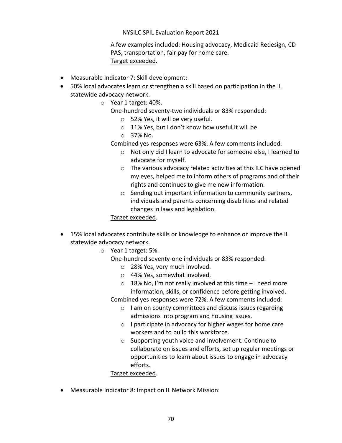A few examples included: Housing advocacy, Medicaid Redesign, CD PAS, transportation, fair pay for home care. Target exceeded.

- Measurable Indicator 7: Skill development:
- 50% local advocates learn or strengthen a skill based on participation in the IL statewide advocacy network.
	- o Year 1 target: 40%.
		- One-hundred seventy-two individuals or 83% responded:
			- o 52% Yes, it will be very useful.
			- o 11% Yes, but I don't know how useful it will be.
			- o 37% No.

Combined yes responses were 63%. A few comments included:

- o Not only did I learn to advocate for someone else, I learned to advocate for myself.
- o The various advocacy related activities at this ILC have opened my eyes, helped me to inform others of programs and of their rights and continues to give me new information.
- o Sending out important information to community partners, individuals and parents concerning disabilities and related changes in laws and legislation.

Target exceeded.

- 15% local advocates contribute skills or knowledge to enhance or improve the IL statewide advocacy network.
	- o Year 1 target: 5%.
		- One-hundred seventy-one individuals or 83% responded:
			- o 28% Yes, very much involved.
			- o 44% Yes, somewhat involved.
			- $\circ$  18% No, I'm not really involved at this time I need more information, skills, or confidence before getting involved.

Combined yes responses were 72%. A few comments included:

- o I am on county committees and discuss issues regarding admissions into program and housing issues.
- o I participate in advocacy for higher wages for home care workers and to build this workforce.
- o Supporting youth voice and involvement. Continue to collaborate on issues and efforts, set up regular meetings or opportunities to learn about issues to engage in advocacy efforts.

Target exceeded.

• Measurable Indicator 8: Impact on IL Network Mission: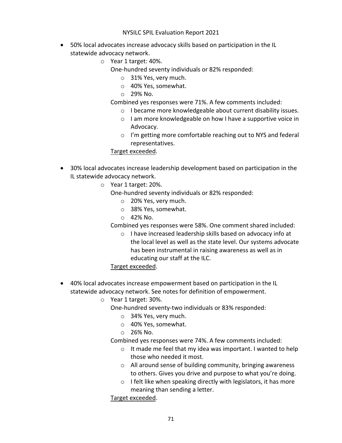- 50% local advocates increase advocacy skills based on participation in the IL statewide advocacy network.
	- o Year 1 target: 40%.
		- One-hundred seventy individuals or 82% responded:
			- o 31% Yes, very much.
			- o 40% Yes, somewhat.
			- o 29% No.

Combined yes responses were 71%. A few comments included:

- o I became more knowledgeable about current disability issues.
- o I am more knowledgeable on how I have a supportive voice in Advocacy.
- o I'm getting more comfortable reaching out to NYS and federal representatives.

Target exceeded.

- 30% local advocates increase leadership development based on participation in the IL statewide advocacy network.
	- o Year 1 target: 20%.
		- One-hundred seventy individuals or 82% responded:
			- o 20% Yes, very much.
			- o 38% Yes, somewhat.
			- $O$  42% No.

Combined yes responses were 58%. One comment shared included:

o I have increased leadership skills based on advocacy info at the local level as well as the state level. Our systems advocate has been instrumental in raising awareness as well as in educating our staff at the ILC.

#### Target exceeded.

- 40% local advocates increase empowerment based on participation in the IL statewide advocacy network. See notes for definition of empowerment.
	- o Year 1 target: 30%.
		- One-hundred seventy-two individuals or 83% responded:
			- o 34% Yes, very much.
			- o 40% Yes, somewhat.
			- o 26% No.
		- Combined yes responses were 74%. A few comments included:
			- o It made me feel that my idea was important. I wanted to help those who needed it most.
			- o All around sense of building community, bringing awareness to others. Gives you drive and purpose to what you're doing.
			- $\circ$  I felt like when speaking directly with legislators, it has more meaning than sending a letter.

Target exceeded.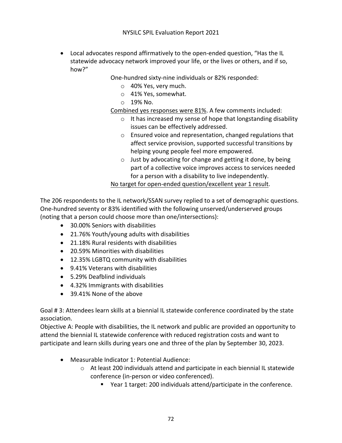• Local advocates respond affirmatively to the open-ended question, "Has the IL statewide advocacy network improved your life, or the lives or others, and if so, how?"

One-hundred sixty-nine individuals or 82% responded:

- o 40% Yes, very much.
- o 41% Yes, somewhat.
- o 19% No.

Combined yes responses were 81%. A few comments included:

- o It has increased my sense of hope that longstanding disability issues can be effectively addressed.
- o Ensured voice and representation, changed regulations that affect service provision, supported successful transitions by helping young people feel more empowered.
- o Just by advocating for change and getting it done, by being part of a collective voice improves access to services needed for a person with a disability to live independently.

No target for open-ended question/excellent year 1 result.

The 206 respondents to the IL network/SSAN survey replied to a set of demographic questions. One-hundred seventy or 83% identified with the following unserved/underserved groups (noting that a person could choose more than one/intersections):

- 30.00% Seniors with disabilities
- 21.76% Youth/young adults with disabilities
- 21.18% Rural residents with disabilities
- 20.59% Minorities with disabilities
- 12.35% LGBTQ community with disabilities
- 9.41% Veterans with disabilities
- 5.29% Deafblind individuals
- 4.32% Immigrants with disabilities
- 39.41% None of the above

Goal # 3: Attendees learn skills at a biennial IL statewide conference coordinated by the state association.

Objective A: People with disabilities, the IL network and public are provided an opportunity to attend the biennial IL statewide conference with reduced registration costs and want to participate and learn skills during years one and three of the plan by September 30, 2023.

- Measurable Indicator 1: Potential Audience:
	- $\circ$  At least 200 individuals attend and participate in each biennial IL statewide conference (in-person or video conferenced).
		- Year 1 target: 200 individuals attend/participate in the conference.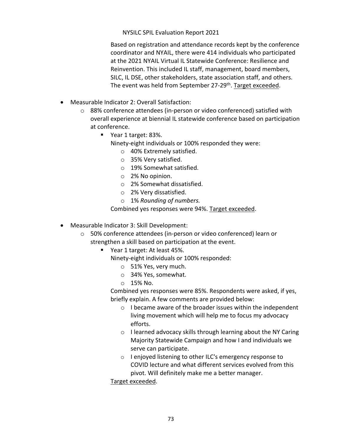Based on registration and attendance records kept by the conference coordinator and NYAIL, there were 414 individuals who participated at the 2021 NYAIL Virtual IL Statewide Conference: Resilience and Reinvention. This included IL staff, management, board members, SILC, IL DSE, other stakeholders, state association staff, and others. The event was held from September 27-29<sup>th</sup>. Target exceeded.

- Measurable Indicator 2: Overall Satisfaction:
	- o 88% conference attendees (in-person or video conferenced) satisfied with overall experience at biennial IL statewide conference based on participation at conference.
		- Year 1 target: 83%.
			- Ninety-eight individuals or 100% responded they were:
				- o 40% Extremely satisfied.
				- o 35% Very satisfied.
				- o 19% Somewhat satisfied.
				- o 2% No opinion.
				- o 2% Somewhat dissatisfied.
				- o 2% Very dissatisfied.
				- o 1% *Rounding of numbers.*

Combined yes responses were 94%. Target exceeded.

- Measurable Indicator 3: Skill Development:
	- o 50% conference attendees (in-person or video conferenced) learn or strengthen a skill based on participation at the event.
		- Year 1 target: At least 45%.
			- Ninety-eight individuals or 100% responded:
				- o 51% Yes, very much.
				- o 34% Yes, somewhat.
				- o 15% No.

Combined yes responses were 85%. Respondents were asked, if yes, briefly explain. A few comments are provided below:

- o I became aware of the broader issues within the independent living movement which will help me to focus my advocacy efforts.
- o I learned advocacy skills through learning about the NY Caring Majority Statewide Campaign and how I and individuals we serve can participate.
- o I enjoyed listening to other ILC's emergency response to COVID lecture and what different services evolved from this pivot. Will definitely make me a better manager.

Target exceeded.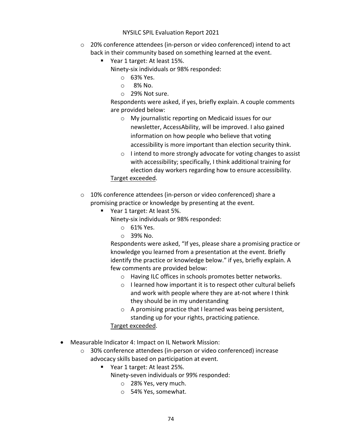- $\circ$  20% conference attendees (in-person or video conferenced) intend to act back in their community based on something learned at the event.
	- Year 1 target: At least 15%.
		- Ninety-six individuals or 98% responded:
			- o 63% Yes.
			- $\circ$  8% No.
			- o 29% Not sure.

Respondents were asked, if yes, briefly explain. A couple comments are provided below:

- o My journalistic reporting on Medicaid issues for our newsletter, AccessAbility, will be improved. I also gained information on how people who believe that voting accessibility is more important than election security think.
- o I intend to more strongly advocate for voting changes to assist with accessibility; specifically, I think additional training for election day workers regarding how to ensure accessibility. Target exceeded.
- o 10% conference attendees (in-person or video conferenced) share a promising practice or knowledge by presenting at the event.
	- Year 1 target: At least 5%.
		- Ninety-six individuals or 98% responded:
			- o 61% Yes.
			- o 39% No.

Respondents were asked, "If yes, please share a promising practice or knowledge you learned from a presentation at the event. Briefly identify the practice or knowledge below." if yes, briefly explain. A few comments are provided below:

- o Having ILC offices in schools promotes better networks.
- o I learned how important it is to respect other cultural beliefs and work with people where they are at-not where I think they should be in my understanding
- o A promising practice that I learned was being persistent, standing up for your rights, practicing patience.
- Target exceeded.
- Measurable Indicator 4: Impact on IL Network Mission:
	- o 30% conference attendees (in-person or video conferenced) increase advocacy skills based on participation at event.
		- § Year 1 target: At least 25%.
			- Ninety-seven individuals or 99% responded:
				- o 28% Yes, very much.
				- o 54% Yes, somewhat.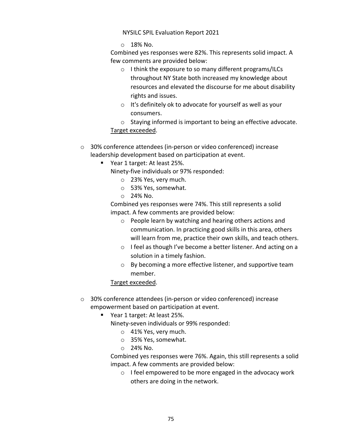$\circ$  18% No.

Combined yes responses were 82%. This represents solid impact. A few comments are provided below:

- o I think the exposure to so many different programs/ILCs throughout NY State both increased my knowledge about resources and elevated the discourse for me about disability rights and issues.
- o It's definitely ok to advocate for yourself as well as your consumers.
- o Staying informed is important to being an effective advocate. Target exceeded.
- o 30% conference attendees (in-person or video conferenced) increase leadership development based on participation at event.
	- § Year 1 target: At least 25%.
		- Ninety-five individuals or 97% responded:
			- o 23% Yes, very much.
			- o 53% Yes, somewhat.
			- o 24% No.

Combined yes responses were 74%. This still represents a solid impact. A few comments are provided below:

- o People learn by watching and hearing others actions and communication. In practicing good skills in this area, others will learn from me, practice their own skills, and teach others.
- o I feel as though I've become a better listener. And acting on a solution in a timely fashion.
- o By becoming a more effective listener, and supportive team member.

## Target exceeded.

- o 30% conference attendees (in-person or video conferenced) increase empowerment based on participation at event.
	- § Year 1 target: At least 25%.

Ninety-seven individuals or 99% responded:

- o 41% Yes, very much.
- o 35% Yes, somewhat.
- o 24% No.

Combined yes responses were 76%. Again, this still represents a solid impact. A few comments are provided below:

o I feel empowered to be more engaged in the advocacy work others are doing in the network.